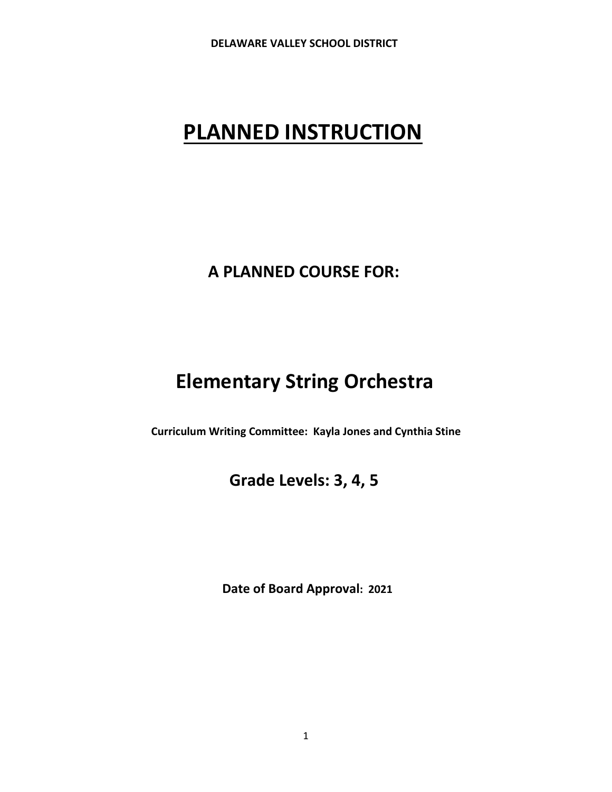# **PLANNED INSTRUCTION**

**A PLANNED COURSE FOR:**

# **Elementary String Orchestra**

**Curriculum Writing Committee: Kayla Jones and Cynthia Stine**

**Grade Levels: 3, 4, 5**

**Date of Board Approval: 2021**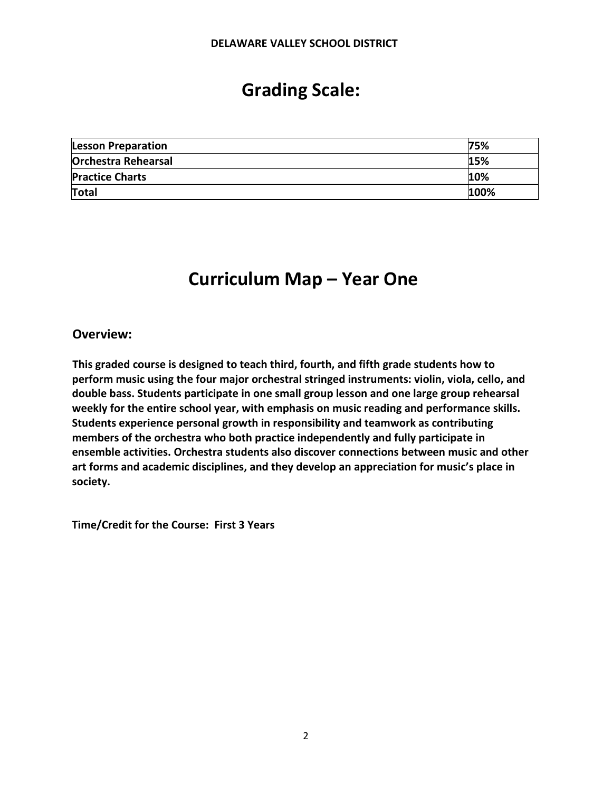# **Grading Scale:**

| <b>Lesson Preparation</b>  | 75%  |
|----------------------------|------|
| <b>Orchestra Rehearsal</b> | 15%  |
| <b>Practice Charts</b>     | 10%  |
| Total                      | 100% |

# **Curriculum Map – Year One**

## **Overview:**

**This graded course is designed to teach third, fourth, and fifth grade students how to perform music using the four major orchestral stringed instruments: violin, viola, cello, and double bass. Students participate in one small group lesson and one large group rehearsal weekly for the entire school year, with emphasis on music reading and performance skills. Students experience personal growth in responsibility and teamwork as contributing members of the orchestra who both practice independently and fully participate in ensemble activities. Orchestra students also discover connections between music and other art forms and academic disciplines, and they develop an appreciation for music's place in society.** 

**Time/Credit for the Course: First 3 Years**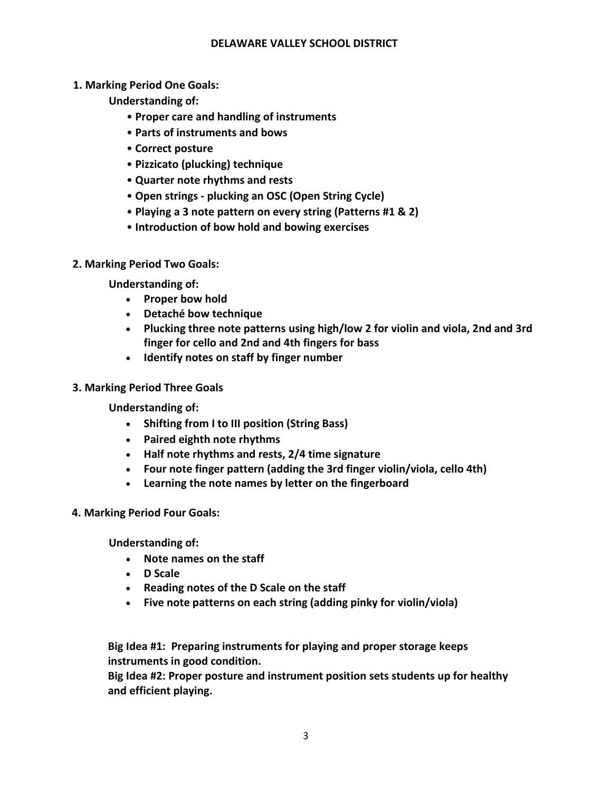**1. Marking Period One Goals:**

**Understanding of:**

- **Proper care and handling of instruments**
- **Parts of instruments and bows**
- **Correct posture**
- **Pizzicato (plucking) technique**
- **Quarter note rhythms and rests**
- **Open strings - plucking an OSC (Open String Cycle)**
- **Playing a 3 note pattern on every string (Patterns #1 & 2)**
- **Introduction of bow hold and bowing exercises**
- **2. Marking Period Two Goals:**

**Understanding of:**

- **Proper bow hold**
- **Detaché bow technique**
- **Plucking three note patterns using high/low 2 for violin and viola, 2nd and 3rd finger for cello and 2nd and 4th fingers for bass**
- **Identify notes on staff by finger number**
- **3. Marking Period Three Goals**

**Understanding of:**

- **Shifting from I to III position (String Bass)**
- **Paired eighth note rhythms**
- **Half note rhythms and rests, 2/4 time signature**
- **Four note finger pattern (adding the 3rd finger violin/viola, cello 4th)**
- **Learning the note names by letter on the fingerboard**
- **4. Marking Period Four Goals:**

**Understanding of:**

- **Note names on the staff**
- **D Scale**
- **Reading notes of the D Scale on the staff**
- **Five note patterns on each string (adding pinky for violin/viola)**

**Big Idea #1: Preparing instruments for playing and proper storage keeps instruments in good condition.**

**Big Idea #2: Proper posture and instrument position sets students up for healthy and efficient playing.**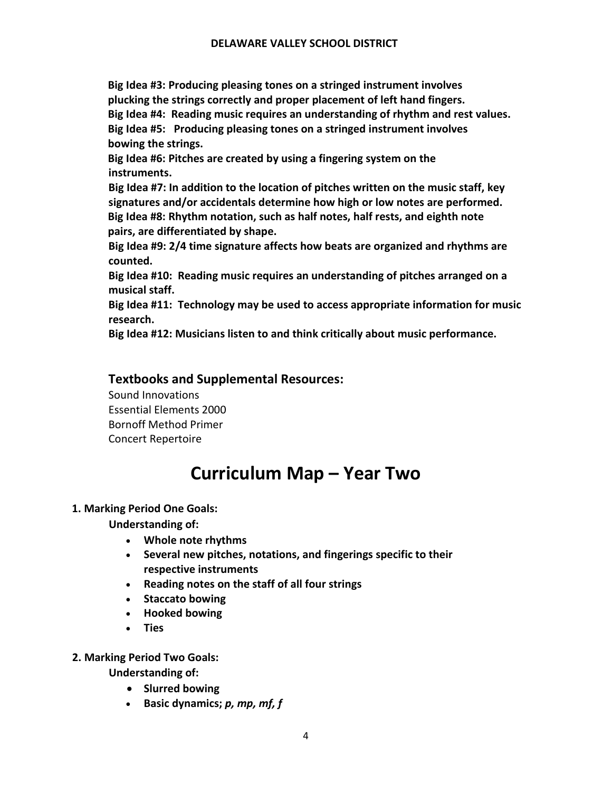**Big Idea #3: Producing pleasing tones on a stringed instrument involves plucking the strings correctly and proper placement of left hand fingers.**

**Big Idea #4: Reading music requires an understanding of rhythm and rest values. Big Idea #5: Producing pleasing tones on a stringed instrument involves** 

**bowing the strings.** 

**Big Idea #6: Pitches are created by using a fingering system on the instruments.** 

**Big Idea #7: In addition to the location of pitches written on the music staff, key signatures and/or accidentals determine how high or low notes are performed. Big Idea #8: Rhythm notation, such as half notes, half rests, and eighth note pairs, are differentiated by shape.**

**Big Idea #9: 2/4 time signature affects how beats are organized and rhythms are counted.** 

**Big Idea #10: Reading music requires an understanding of pitches arranged on a musical staff.** 

**Big Idea #11: Technology may be used to access appropriate information for music research.**

**Big Idea #12: Musicians listen to and think critically about music performance.** 

# **Textbooks and Supplemental Resources:**

Sound Innovations Essential Elements 2000 Bornoff Method Primer Concert Repertoire

# **Curriculum Map – Year Two**

## **1. Marking Period One Goals:**

**Understanding of:**

- **Whole note rhythms**
- **Several new pitches, notations, and fingerings specific to their respective instruments**
- **Reading notes on the staff of all four strings**
- **Staccato bowing**
- **Hooked bowing**
- **Ties**
- **2. Marking Period Two Goals:**

**Understanding of:**

- **Slurred bowing**
- **Basic dynamics;** *p, mp, mf, f*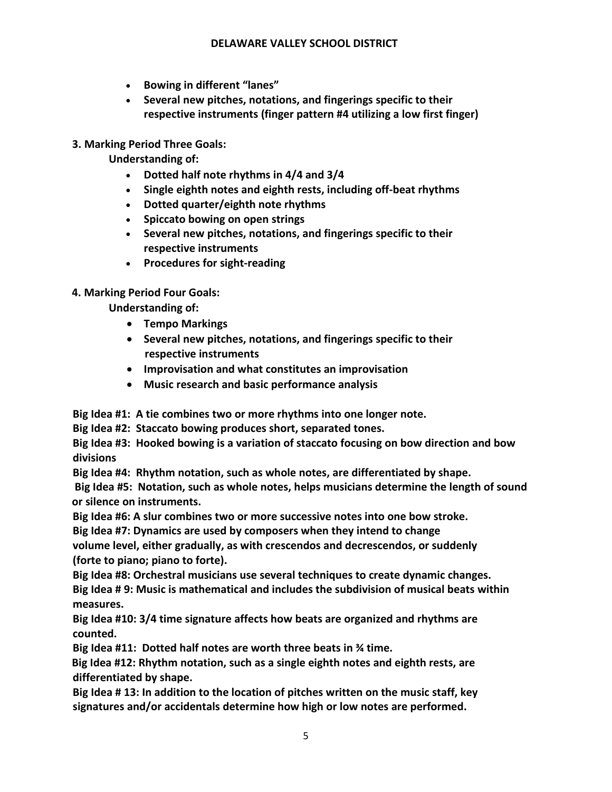- **Bowing in different "lanes"**
- **Several new pitches, notations, and fingerings specific to their respective instruments (finger pattern #4 utilizing a low first finger)**
- **3. Marking Period Three Goals:**

**Understanding of:**

- **Dotted half note rhythms in 4/4 and 3/4**
- **Single eighth notes and eighth rests, including off-beat rhythms**
- **Dotted quarter/eighth note rhythms**
- **Spiccato bowing on open strings**
- **Several new pitches, notations, and fingerings specific to their respective instruments**
- **Procedures for sight-reading**
- **4. Marking Period Four Goals:**

**Understanding of:**

- **Tempo Markings**
- **Several new pitches, notations, and fingerings specific to their respective instruments**
- **Improvisation and what constitutes an improvisation**
- **Music research and basic performance analysis**

**Big Idea #1: A tie combines two or more rhythms into one longer note.** 

**Big Idea #2: Staccato bowing produces short, separated tones.**

**Big Idea #3: Hooked bowing is a variation of staccato focusing on bow direction and bow divisions**

**Big Idea #4: Rhythm notation, such as whole notes, are differentiated by shape.** 

**Big Idea #5: Notation, such as whole notes, helps musicians determine the length of sound or silence on instruments.**

**Big Idea #6: A slur combines two or more successive notes into one bow stroke.** 

**Big Idea #7: Dynamics are used by composers when they intend to change** 

**volume level, either gradually, as with crescendos and decrescendos, or suddenly (forte to piano; piano to forte).**

**Big Idea #8: Orchestral musicians use several techniques to create dynamic changes. Big Idea # 9: Music is mathematical and includes the subdivision of musical beats within measures.**

**Big Idea #10: 3/4 time signature affects how beats are organized and rhythms are counted.** 

**Big Idea #11: Dotted half notes are worth three beats in ¾ time.**

**Big Idea #12: Rhythm notation, such as a single eighth notes and eighth rests, are differentiated by shape.**

**Big Idea # 13: In addition to the location of pitches written on the music staff, key signatures and/or accidentals determine how high or low notes are performed.**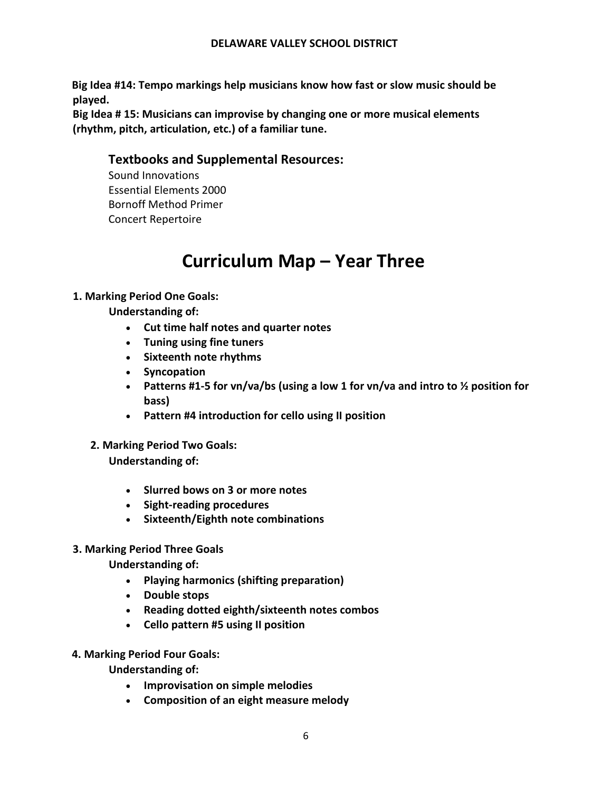**Big Idea #14: Tempo markings help musicians know how fast or slow music should be played.**

**Big Idea # 15: Musicians can improvise by changing one or more musical elements (rhythm, pitch, articulation, etc.) of a familiar tune.**

# **Textbooks and Supplemental Resources:**

Sound Innovations Essential Elements 2000 Bornoff Method Primer Concert Repertoire

# **Curriculum Map – Year Three**

## **1. Marking Period One Goals:**

**Understanding of:**

- **Cut time half notes and quarter notes**
- **Tuning using fine tuners**
- **Sixteenth note rhythms**
- **Syncopation**
- **Patterns #1-5 for vn/va/bs (using a low 1 for vn/va and intro to ½ position for bass)**
- **Pattern #4 introduction for cello using II position**

## **2. Marking Period Two Goals:**

**Understanding of:**

- **Slurred bows on 3 or more notes**
- **Sight-reading procedures**
- **Sixteenth/Eighth note combinations**
- **3. Marking Period Three Goals**

**Understanding of:**

- **Playing harmonics (shifting preparation)**
- **Double stops**
- **Reading dotted eighth/sixteenth notes combos**
- **Cello pattern #5 using II position**
- **4. Marking Period Four Goals:**

**Understanding of:**

- **Improvisation on simple melodies**
- **Composition of an eight measure melody**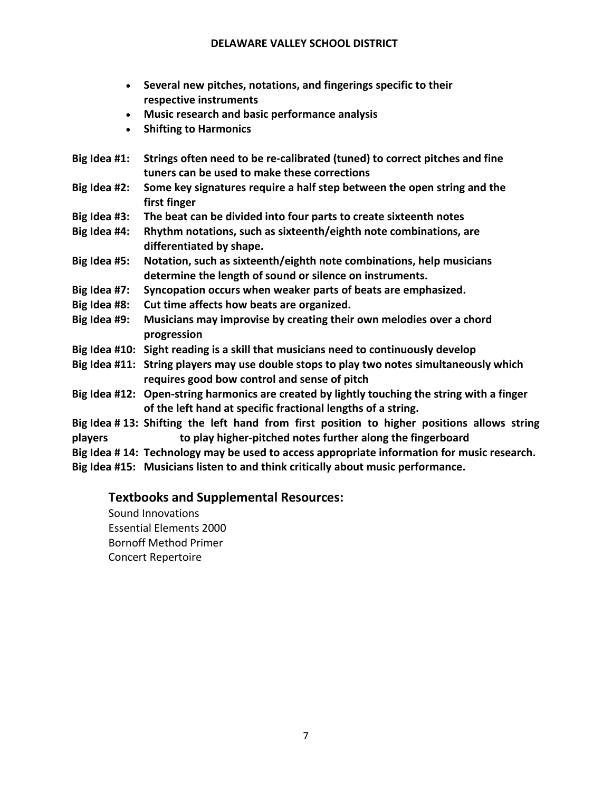- **Several new pitches, notations, and fingerings specific to their respective instruments**
- **Music research and basic performance analysis**
- **Shifting to Harmonics**
- **Big Idea #1: Strings often need to be re-calibrated (tuned) to correct pitches and fine tuners can be used to make these corrections**
- **Big Idea #2: Some key signatures require a half step between the open string and the first finger**
- **Big Idea #3: The beat can be divided into four parts to create sixteenth notes**
- **Big Idea #4: Rhythm notations, such as sixteenth/eighth note combinations, are differentiated by shape.**
- **Big Idea #5: Notation, such as sixteenth/eighth note combinations, help musicians determine the length of sound or silence on instruments.**
- **Big Idea #7: Syncopation occurs when weaker parts of beats are emphasized.**
- **Big Idea #8: Cut time affects how beats are organized.**
- **Big Idea #9: Musicians may improvise by creating their own melodies over a chord progression**
- **Big Idea #10: Sight reading is a skill that musicians need to continuously develop**
- **Big Idea #11: String players may use double stops to play two notes simultaneously which requires good bow control and sense of pitch**
- **Big Idea #12: Open-string harmonics are created by lightly touching the string with a finger of the left hand at specific fractional lengths of a string.**
- **Big Idea # 13: Shifting the left hand from first position to higher positions allows string players to play higher-pitched notes further along the fingerboard**
- **Big Idea # 14: Technology may be used to access appropriate information for music research.**
- **Big Idea #15: Musicians listen to and think critically about music performance.**

# **Textbooks and Supplemental Resources:**

Sound Innovations Essential Elements 2000 Bornoff Method Primer Concert Repertoire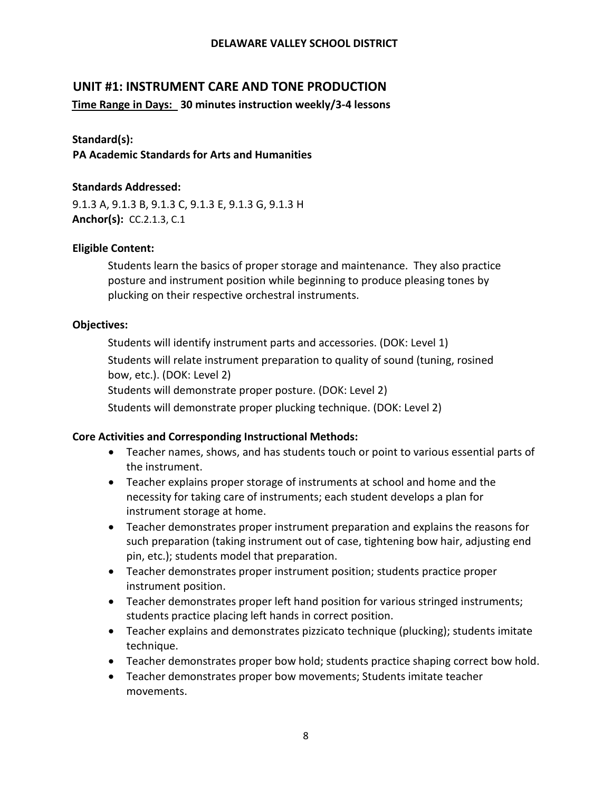# **UNIT #1: INSTRUMENT CARE AND TONE PRODUCTION**

**Time Range in Days: 30 minutes instruction weekly/3-4 lessons**

## **Standard(s):**

**PA Academic Standards for Arts and Humanities**

## **Standards Addressed:**

9.1.3 A, 9.1.3 B, 9.1.3 C, 9.1.3 E, 9.1.3 G, 9.1.3 H **Anchor(s):** CC.2.1.3, C.1

## **Eligible Content:**

Students learn the basics of proper storage and maintenance. They also practice posture and instrument position while beginning to produce pleasing tones by plucking on their respective orchestral instruments.

## **Objectives:**

Students will identify instrument parts and accessories. (DOK: Level 1) Students will relate instrument preparation to quality of sound (tuning, rosined bow, etc.). (DOK: Level 2)

Students will demonstrate proper posture. (DOK: Level 2)

Students will demonstrate proper plucking technique. (DOK: Level 2)

## **Core Activities and Corresponding Instructional Methods:**

- Teacher names, shows, and has students touch or point to various essential parts of the instrument.
- Teacher explains proper storage of instruments at school and home and the necessity for taking care of instruments; each student develops a plan for instrument storage at home.
- Teacher demonstrates proper instrument preparation and explains the reasons for such preparation (taking instrument out of case, tightening bow hair, adjusting end pin, etc.); students model that preparation.
- Teacher demonstrates proper instrument position; students practice proper instrument position.
- Teacher demonstrates proper left hand position for various stringed instruments; students practice placing left hands in correct position.
- Teacher explains and demonstrates pizzicato technique (plucking); students imitate technique.
- Teacher demonstrates proper bow hold; students practice shaping correct bow hold.
- Teacher demonstrates proper bow movements; Students imitate teacher movements.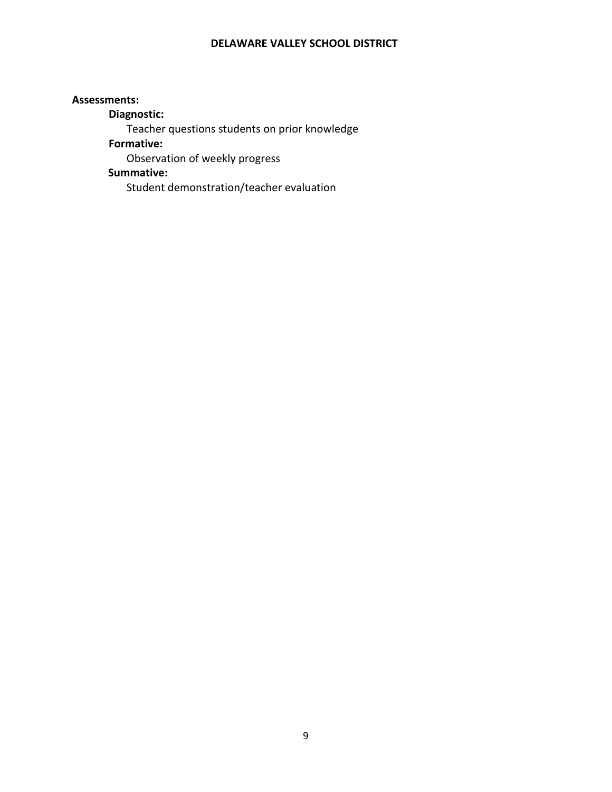#### **Assessments:**

**Diagnostic:** 

Teacher questions students on prior knowledge

**Formative:**

Observation of weekly progress

## **Summative:**

Student demonstration/teacher evaluation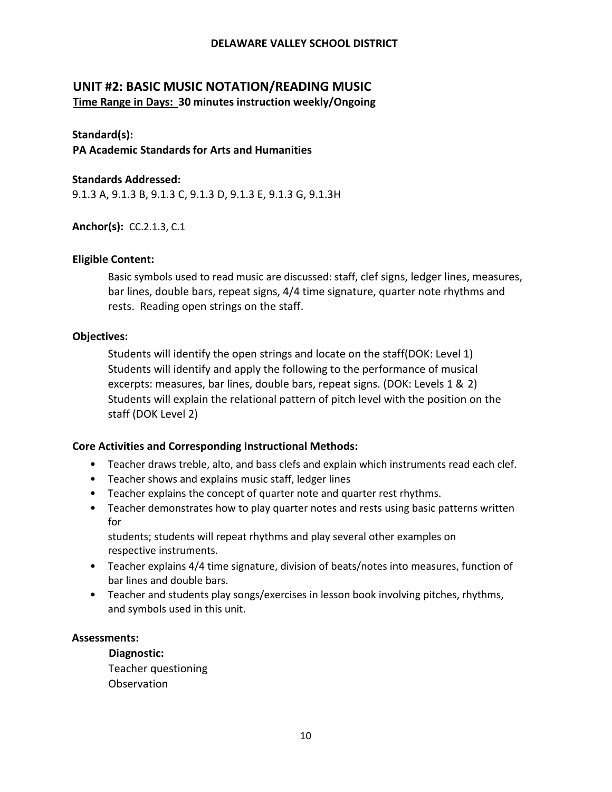# **UNIT #2: BASIC MUSIC NOTATION/READING MUSIC Time Range in Days: 30 minutes instruction weekly/Ongoing**

#### **Standard(s):**

**PA Academic Standards for Arts and Humanities**

#### **Standards Addressed:**

9.1.3 A, 9.1.3 B, 9.1.3 C, 9.1.3 D, 9.1.3 E, 9.1.3 G, 9.1.3H

**Anchor(s):** CC.2.1.3, C.1

#### **Eligible Content:**

Basic symbols used to read music are discussed: staff, clef signs, ledger lines, measures, bar lines, double bars, repeat signs, 4/4 time signature, quarter note rhythms and rests. Reading open strings on the staff.

#### **Objectives:**

Students will identify the open strings and locate on the staff(DOK: Level 1) Students will identify and apply the following to the performance of musical excerpts: measures, bar lines, double bars, repeat signs. (DOK: Levels 1 & 2) Students will explain the relational pattern of pitch level with the position on the staff (DOK Level 2)

#### **Core Activities and Corresponding Instructional Methods:**

- Teacher draws treble, alto, and bass clefs and explain which instruments read each clef.
- Teacher shows and explains music staff, ledger lines
- Teacher explains the concept of quarter note and quarter rest rhythms.
- Teacher demonstrates how to play quarter notes and rests using basic patterns written for

students; students will repeat rhythms and play several other examples on respective instruments.

- Teacher explains 4/4 time signature, division of beats/notes into measures, function of bar lines and double bars.
- Teacher and students play songs/exercises in lesson book involving pitches, rhythms, and symbols used in this unit.

#### **Assessments:**

**Diagnostic:** Teacher questioning Observation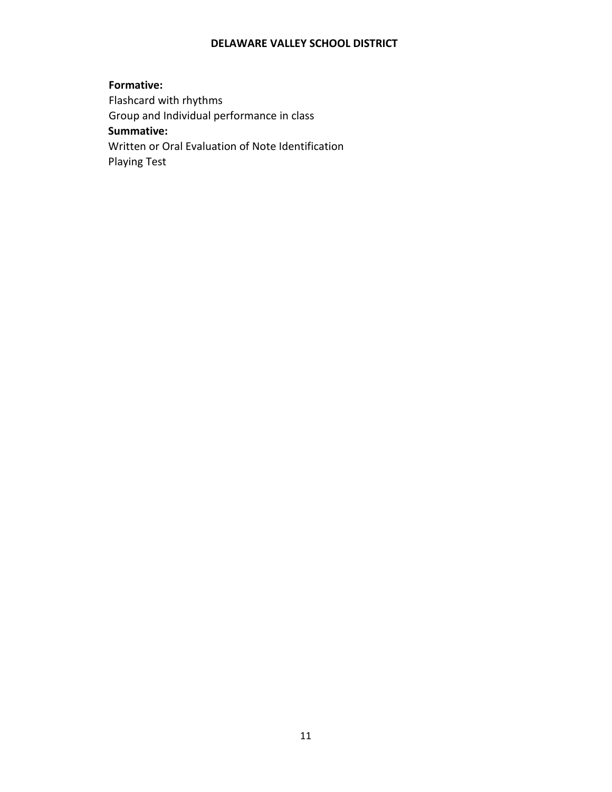# **Formative:**

Flashcard with rhythms Group and Individual performance in class **Summative:** Written or Oral Evaluation of Note Identification Playing Test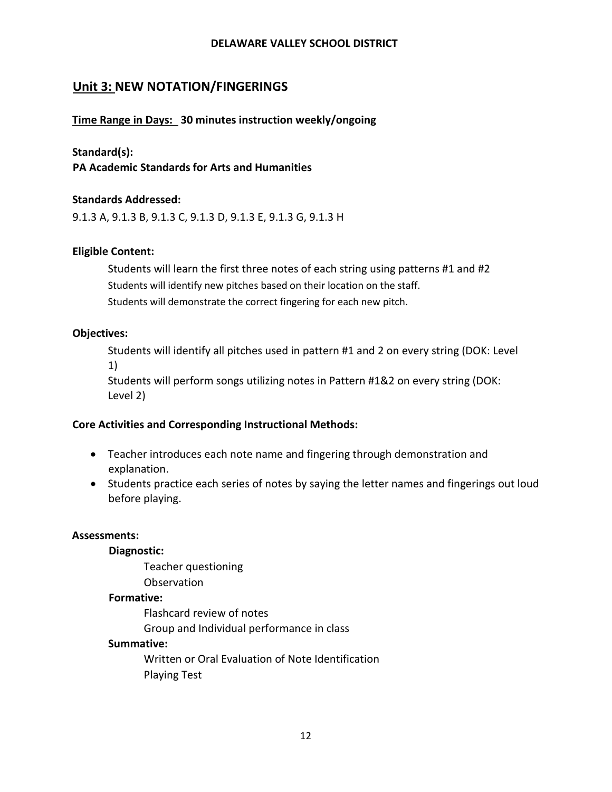# **Unit 3: NEW NOTATION/FINGERINGS**

## **Time Range in Days: 30 minutes instruction weekly/ongoing**

#### **Standard(s):**

**PA Academic Standards for Arts and Humanities**

#### **Standards Addressed:**

9.1.3 A, 9.1.3 B, 9.1.3 C, 9.1.3 D, 9.1.3 E, 9.1.3 G, 9.1.3 H

#### **Eligible Content:**

Students will learn the first three notes of each string using patterns #1 and #2 Students will identify new pitches based on their location on the staff. Students will demonstrate the correct fingering for each new pitch.

#### **Objectives:**

Students will identify all pitches used in pattern #1 and 2 on every string (DOK: Level 1)

Students will perform songs utilizing notes in Pattern #1&2 on every string (DOK: Level 2)

#### **Core Activities and Corresponding Instructional Methods:**

- Teacher introduces each note name and fingering through demonstration and explanation.
- Students practice each series of notes by saying the letter names and fingerings out loud before playing.

#### **Assessments:**

#### **Diagnostic:**

Teacher questioning

Observation

#### **Formative:**

Flashcard review of notes

Group and Individual performance in class

#### **Summative:**

Written or Oral Evaluation of Note Identification Playing Test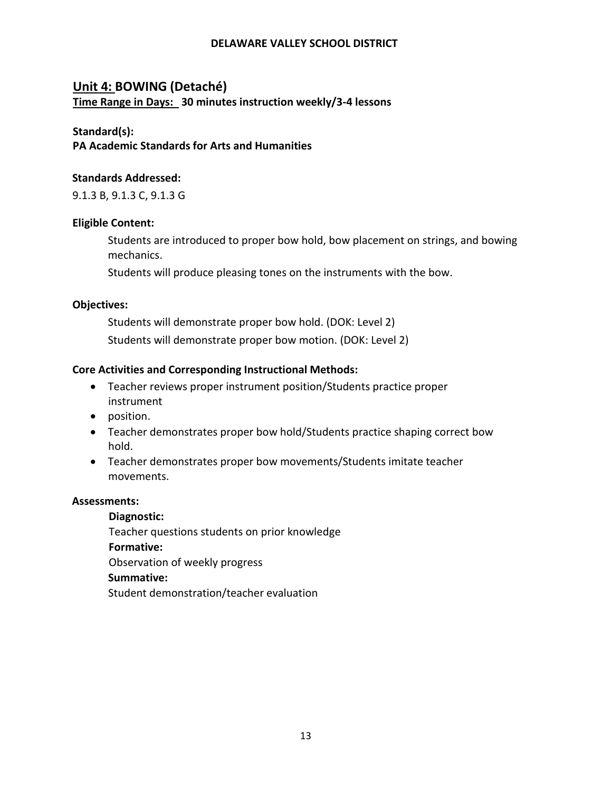# **Unit 4: BOWING (Detaché)**

**Time Range in Days: 30 minutes instruction weekly/3-4 lessons**

## **Standard(s):**

**PA Academic Standards for Arts and Humanities**

## **Standards Addressed:**

9.1.3 B, 9.1.3 C, 9.1.3 G

## **Eligible Content:**

Students are introduced to proper bow hold, bow placement on strings, and bowing mechanics.

Students will produce pleasing tones on the instruments with the bow.

## **Objectives:**

Students will demonstrate proper bow hold. (DOK: Level 2) Students will demonstrate proper bow motion. (DOK: Level 2)

## **Core Activities and Corresponding Instructional Methods:**

- Teacher reviews proper instrument position/Students practice proper instrument
- position.
- Teacher demonstrates proper bow hold/Students practice shaping correct bow hold.
- Teacher demonstrates proper bow movements/Students imitate teacher movements.

#### **Assessments:**

**Diagnostic:**

Teacher questions students on prior knowledge

**Formative:**

Observation of weekly progress

#### **Summative:**

Student demonstration/teacher evaluation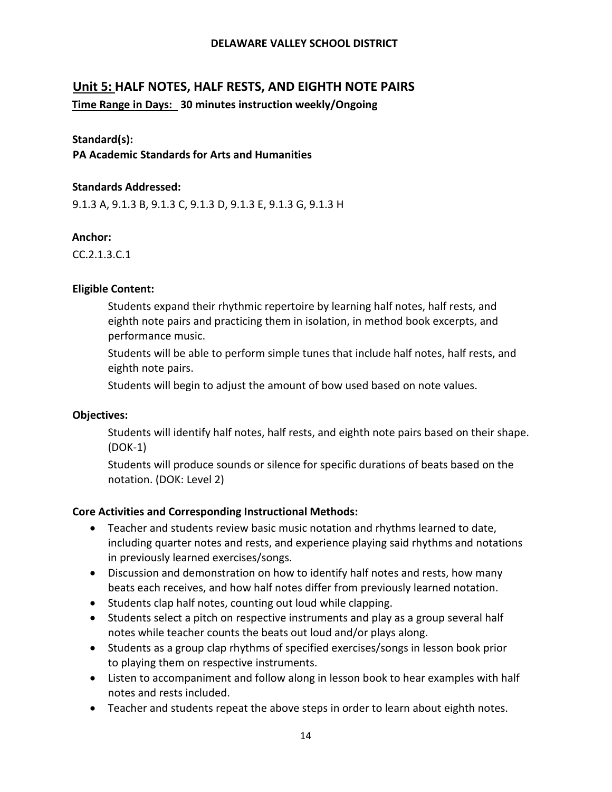# **Unit 5: HALF NOTES, HALF RESTS, AND EIGHTH NOTE PAIRS**

**Time Range in Days: 30 minutes instruction weekly/Ongoing**

## **Standard(s):**

**PA Academic Standards for Arts and Humanities**

## **Standards Addressed:**

9.1.3 A, 9.1.3 B, 9.1.3 C, 9.1.3 D, 9.1.3 E, 9.1.3 G, 9.1.3 H

## **Anchor:**

CC.2.1.3.C.1

## **Eligible Content:**

Students expand their rhythmic repertoire by learning half notes, half rests, and eighth note pairs and practicing them in isolation, in method book excerpts, and performance music.

Students will be able to perform simple tunes that include half notes, half rests, and eighth note pairs.

Students will begin to adjust the amount of bow used based on note values.

## **Objectives:**

Students will identify half notes, half rests, and eighth note pairs based on their shape. (DOK‐1)

Students will produce sounds or silence for specific durations of beats based on the notation. (DOK: Level 2)

# **Core Activities and Corresponding Instructional Methods:**

- Teacher and students review basic music notation and rhythms learned to date, including quarter notes and rests, and experience playing said rhythms and notations in previously learned exercises/songs.
- Discussion and demonstration on how to identify half notes and rests, how many beats each receives, and how half notes differ from previously learned notation.
- Students clap half notes, counting out loud while clapping.
- Students select a pitch on respective instruments and play as a group several half notes while teacher counts the beats out loud and/or plays along.
- Students as a group clap rhythms of specified exercises/songs in lesson book prior to playing them on respective instruments.
- Listen to accompaniment and follow along in lesson book to hear examples with half notes and rests included.
- Teacher and students repeat the above steps in order to learn about eighth notes.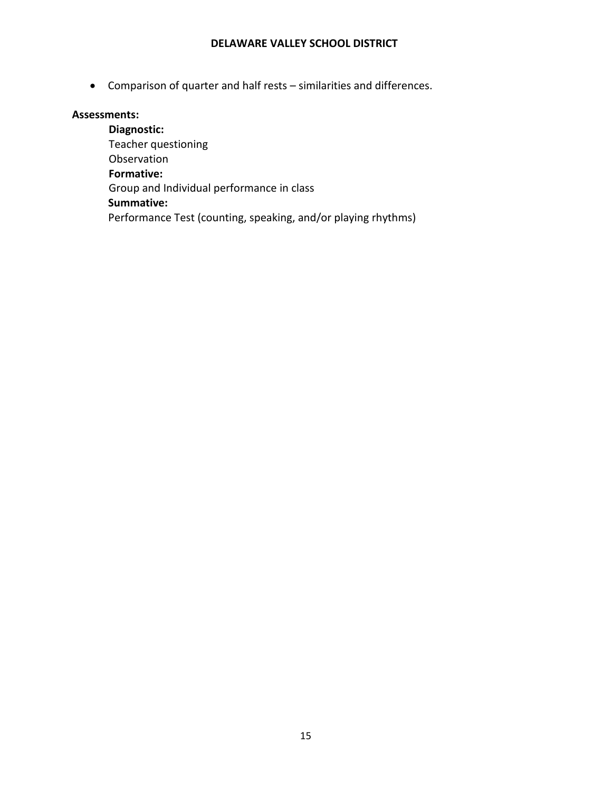• Comparison of quarter and half rests – similarities and differences.

#### **Assessments:**

**Diagnostic:** Teacher questioning Observation **Formative:** Group and Individual performance in class **Summative:** Performance Test (counting, speaking, and/or playing rhythms)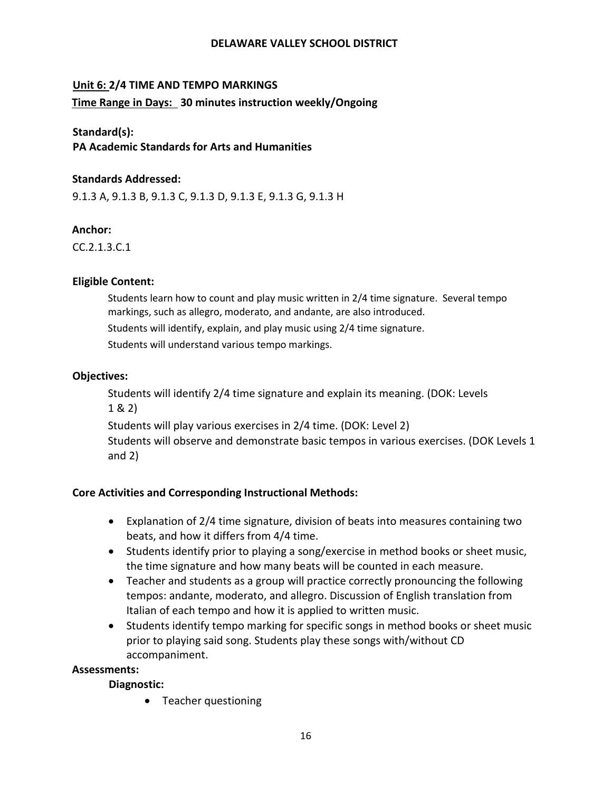#### **Unit 6: 2/4 TIME AND TEMPO MARKINGS**

**Time Range in Days: 30 minutes instruction weekly/Ongoing**

#### **Standard(s):**

**PA Academic Standards for Arts and Humanities**

#### **Standards Addressed:**

9.1.3 A, 9.1.3 B, 9.1.3 C, 9.1.3 D, 9.1.3 E, 9.1.3 G, 9.1.3 H

#### **Anchor:**

CC.2.1.3.C.1

#### **Eligible Content:**

Students learn how to count and play music written in 2/4 time signature. Several tempo markings, such as allegro, moderato, and andante, are also introduced.

Students will identify, explain, and play music using 2/4 time signature.

Students will understand various tempo markings.

#### **Objectives:**

Students will identify 2/4 time signature and explain its meaning. (DOK: Levels 1 & 2)

Students will play various exercises in 2/4 time. (DOK: Level 2) Students will observe and demonstrate basic tempos in various exercises. (DOK Levels 1 and 2)

#### **Core Activities and Corresponding Instructional Methods:**

- Explanation of 2/4 time signature, division of beats into measures containing two beats, and how it differs from 4/4 time.
- Students identify prior to playing a song/exercise in method books or sheet music, the time signature and how many beats will be counted in each measure.
- Teacher and students as a group will practice correctly pronouncing the following tempos: andante, moderato, and allegro. Discussion of English translation from Italian of each tempo and how it is applied to written music.
- Students identify tempo marking for specific songs in method books or sheet music prior to playing said song. Students play these songs with/without CD accompaniment.

#### **Assessments:**

#### **Diagnostic:**

• Teacher questioning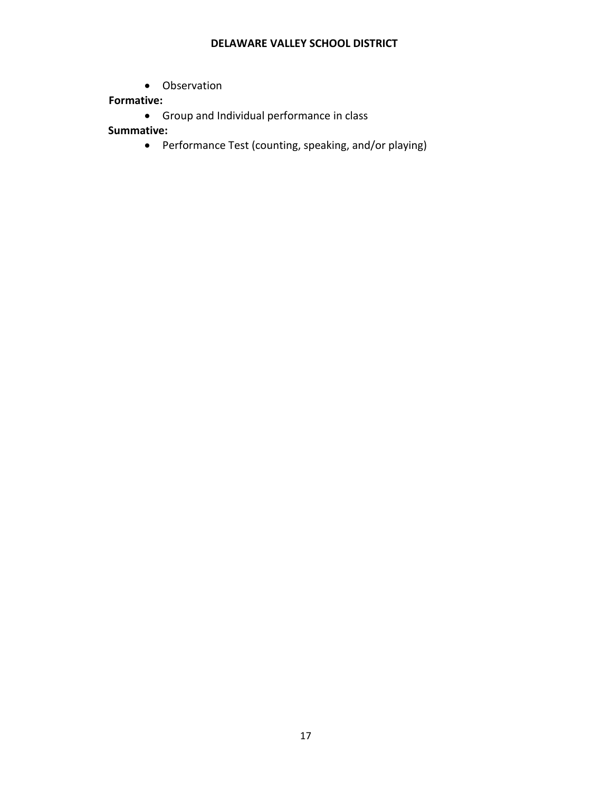• Observation

# **Formative:**

• Group and Individual performance in class

**Summative:**

• Performance Test (counting, speaking, and/or playing)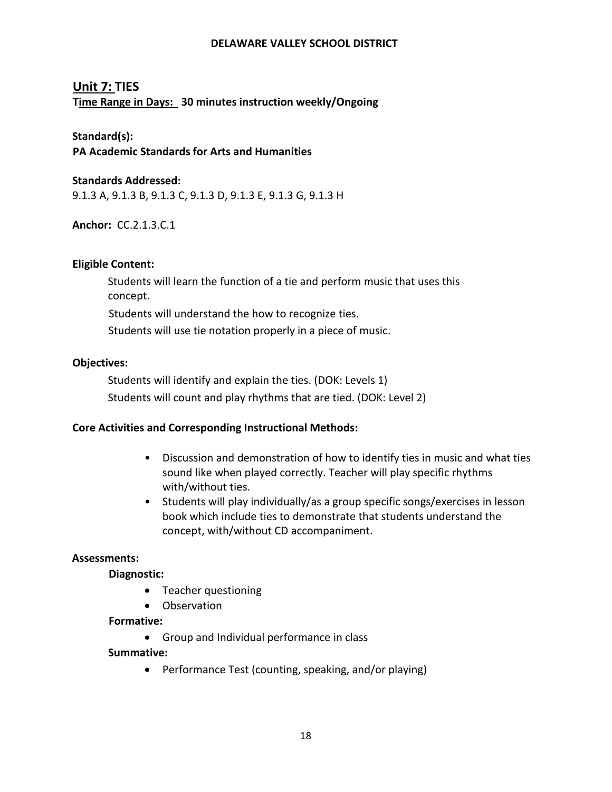# **Unit 7: TIES**

**Time Range in Days: 30 minutes instruction weekly/Ongoing**

## **Standard(s):**

**PA Academic Standards for Arts and Humanities**

#### **Standards Addressed:**

9.1.3 A, 9.1.3 B, 9.1.3 C, 9.1.3 D, 9.1.3 E, 9.1.3 G, 9.1.3 H

**Anchor:** CC.2.1.3.C.1

#### **Eligible Content:**

Students will learn the function of a tie and perform music that uses this concept. Students will understand the how to recognize ties. Students will use tie notation properly in a piece of music.

#### **Objectives:**

Students will identify and explain the ties. (DOK: Levels 1) Students will count and play rhythms that are tied. (DOK: Level 2)

#### **Core Activities and Corresponding Instructional Methods:**

- Discussion and demonstration of how to identify ties in music and what ties sound like when played correctly. Teacher will play specific rhythms with/without ties.
- Students will play individually/as a group specific songs/exercises in lesson book which include ties to demonstrate that students understand the concept, with/without CD accompaniment.

## **Assessments:**

#### **Diagnostic:**

- Teacher questioning
- Observation

#### **Formative:**

• Group and Individual performance in class

#### **Summative:**

• Performance Test (counting, speaking, and/or playing)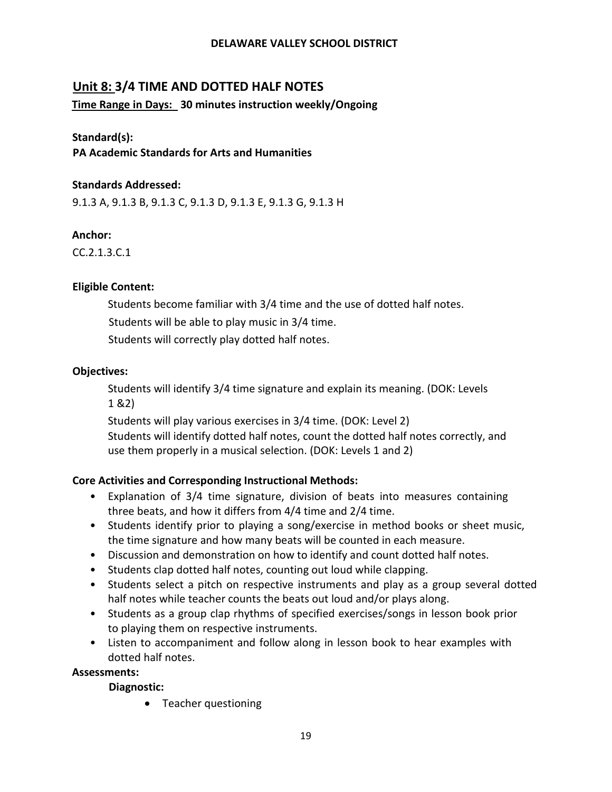# **Unit 8: 3/4 TIME AND DOTTED HALF NOTES**

**Time Range in Days: 30 minutes instruction weekly/Ongoing**

## **Standard(s):**

**PA Academic Standards for Arts and Humanities**

## **Standards Addressed:**

9.1.3 A, 9.1.3 B, 9.1.3 C, 9.1.3 D, 9.1.3 E, 9.1.3 G, 9.1.3 H

## **Anchor:**

CC.2.1.3.C.1

# **Eligible Content:**

Students become familiar with 3/4 time and the use of dotted half notes. Students will be able to play music in 3/4 time. Students will correctly play dotted half notes.

## **Objectives:**

Students will identify 3/4 time signature and explain its meaning. (DOK: Levels 1 &2)

Students will play various exercises in 3/4 time. (DOK: Level 2)

Students will identify dotted half notes, count the dotted half notes correctly, and use them properly in a musical selection. (DOK: Levels 1 and 2)

# **Core Activities and Corresponding Instructional Methods:**

- Explanation of 3/4 time signature, division of beats into measures containing three beats, and how it differs from 4/4 time and 2/4 time.
- Students identify prior to playing a song/exercise in method books or sheet music, the time signature and how many beats will be counted in each measure.
- Discussion and demonstration on how to identify and count dotted half notes.
- Students clap dotted half notes, counting out loud while clapping.
- Students select a pitch on respective instruments and play as a group several dotted half notes while teacher counts the beats out loud and/or plays along.
- Students as a group clap rhythms of specified exercises/songs in lesson book prior to playing them on respective instruments.
- Listen to accompaniment and follow along in lesson book to hear examples with dotted half notes.

## **Assessments:**

**Diagnostic:**

• Teacher questioning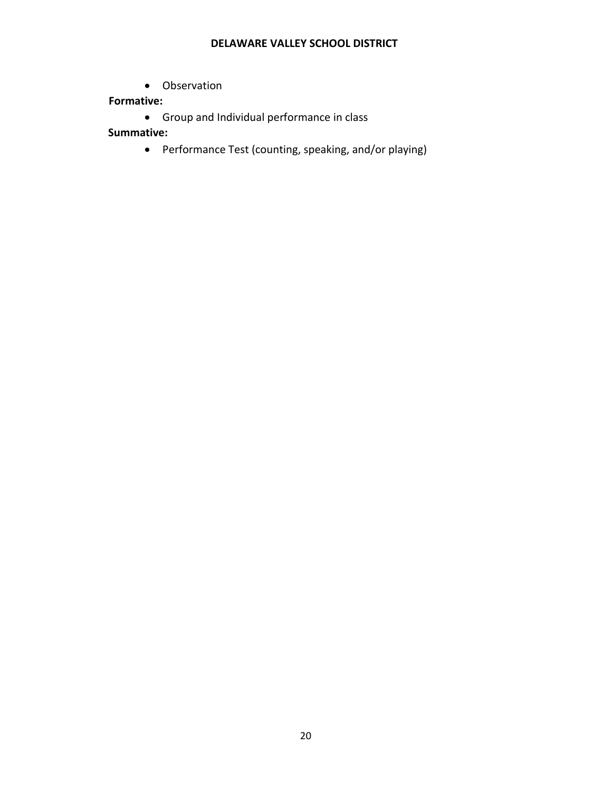• Observation

# **Formative:**

• Group and Individual performance in class

**Summative:**

• Performance Test (counting, speaking, and/or playing)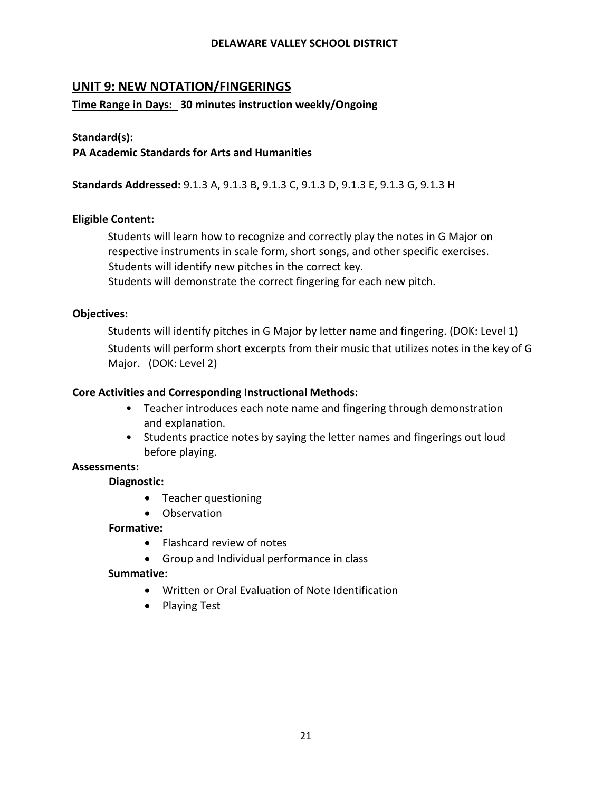# **UNIT 9: NEW NOTATION/FINGERINGS**

## **Time Range in Days: 30 minutes instruction weekly/Ongoing**

## **Standard(s):**

## **PA Academic Standards for Arts and Humanities**

**Standards Addressed:** 9.1.3 A, 9.1.3 B, 9.1.3 C, 9.1.3 D, 9.1.3 E, 9.1.3 G, 9.1.3 H

#### **Eligible Content:**

Students will learn how to recognize and correctly play the notes in G Major on respective instruments in scale form, short songs, and other specific exercises. Students will identify new pitches in the correct key.

Students will demonstrate the correct fingering for each new pitch.

#### **Objectives:**

Students will identify pitches in G Major by letter name and fingering. (DOK: Level 1) Students will perform short excerpts from their music that utilizes notes in the key of G Major. (DOK: Level 2)

#### **Core Activities and Corresponding Instructional Methods:**

- Teacher introduces each note name and fingering through demonstration and explanation.
- Students practice notes by saying the letter names and fingerings out loud before playing.

#### **Assessments:**

#### **Diagnostic:**

- Teacher questioning
- Observation

#### **Formative:**

- Flashcard review of notes
- Group and Individual performance in class

#### **Summative:**

- Written or Oral Evaluation of Note Identification
- Playing Test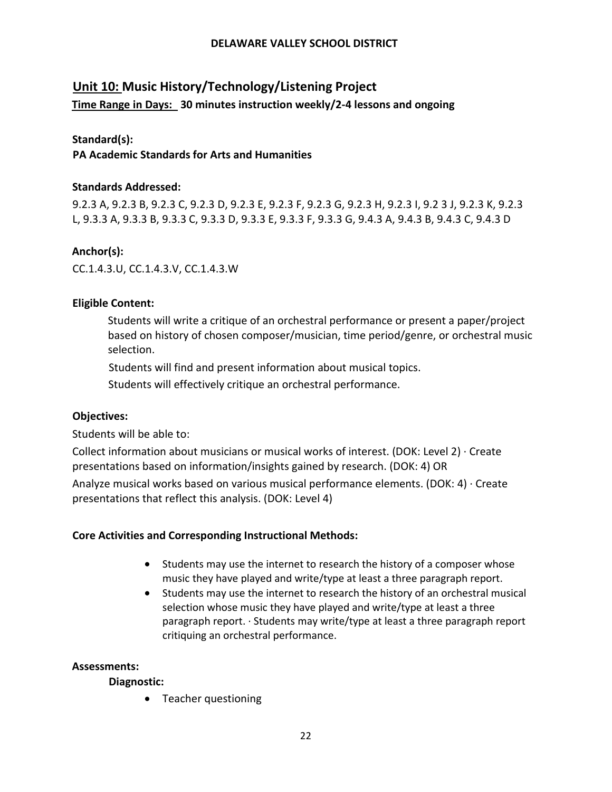# **Unit 10: Music History/Technology/Listening Project**

**Time Range in Days: 30 minutes instruction weekly/2-4 lessons and ongoing**

## **Standard(s):**

**PA Academic Standards for Arts and Humanities**

## **Standards Addressed:**

9.2.3 A, 9.2.3 B, 9.2.3 C, 9.2.3 D, 9.2.3 E, 9.2.3 F, 9.2.3 G, 9.2.3 H, 9.2.3 I, 9.2 3 J, 9.2.3 K, 9.2.3 L, 9.3.3 A, 9.3.3 B, 9.3.3 C, 9.3.3 D, 9.3.3 E, 9.3.3 F, 9.3.3 G, 9.4.3 A, 9.4.3 B, 9.4.3 C, 9.4.3 D

## **Anchor(s):**

CC.1.4.3.U, CC.1.4.3.V, CC.1.4.3.W

## **Eligible Content:**

Students will write a critique of an orchestral performance or present a paper/project based on history of chosen composer/musician, time period/genre, or orchestral music selection.

Students will find and present information about musical topics.

Students will effectively critique an orchestral performance.

## **Objectives:**

Students will be able to:

Collect information about musicians or musical works of interest. (DOK: Level 2) ∙ Create presentations based on information/insights gained by research. (DOK: 4) OR Analyze musical works based on various musical performance elements. (DOK: 4) ∙ Create presentations that reflect this analysis. (DOK: Level 4)

## **Core Activities and Corresponding Instructional Methods:**

- Students may use the internet to research the history of a composer whose music they have played and write/type at least a three paragraph report.
- Students may use the internet to research the history of an orchestral musical selection whose music they have played and write/type at least a three paragraph report. ∙ Students may write/type at least a three paragraph report critiquing an orchestral performance.

## **Assessments:**

## **Diagnostic:**

• Teacher questioning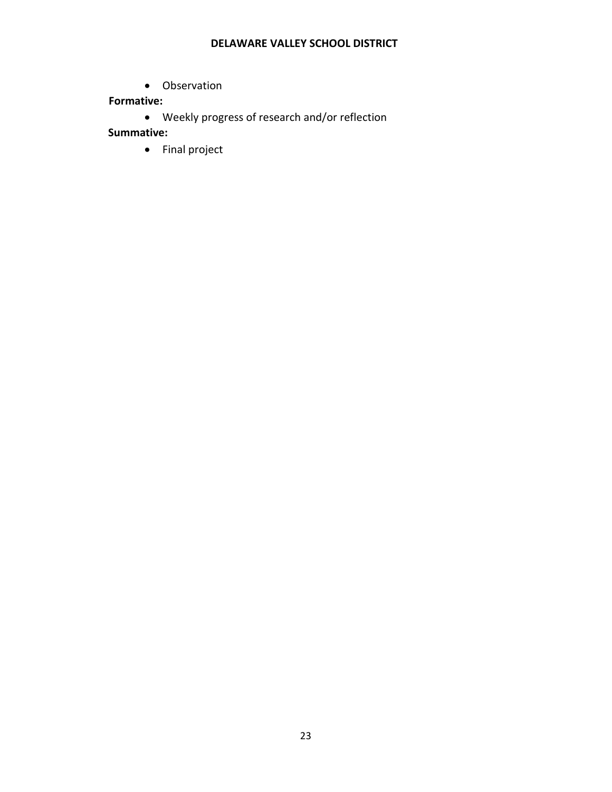• Observation

# **Formative:**

• Weekly progress of research and/or reflection

**Summative:**

• Final project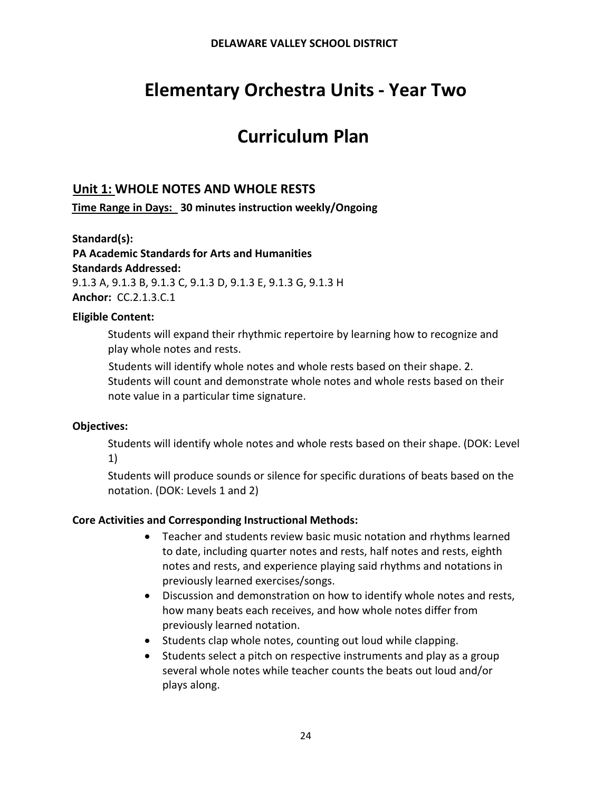# **Elementary Orchestra Units - Year Two**

# **Curriculum Plan**

# **Unit 1: WHOLE NOTES AND WHOLE RESTS**

**Time Range in Days: 30 minutes instruction weekly/Ongoing**

**Standard(s):** 

**PA Academic Standards for Arts and Humanities Standards Addressed:**  9.1.3 A, 9.1.3 B, 9.1.3 C, 9.1.3 D, 9.1.3 E, 9.1.3 G, 9.1.3 H **Anchor:** CC.2.1.3.C.1

## **Eligible Content:**

Students will expand their rhythmic repertoire by learning how to recognize and play whole notes and rests.

Students will identify whole notes and whole rests based on their shape. 2. Students will count and demonstrate whole notes and whole rests based on their note value in a particular time signature.

#### **Objectives:**

Students will identify whole notes and whole rests based on their shape. (DOK: Level 1)

Students will produce sounds or silence for specific durations of beats based on the notation. (DOK: Levels 1 and 2)

## **Core Activities and Corresponding Instructional Methods:**

- Teacher and students review basic music notation and rhythms learned to date, including quarter notes and rests, half notes and rests, eighth notes and rests, and experience playing said rhythms and notations in previously learned exercises/songs.
- Discussion and demonstration on how to identify whole notes and rests, how many beats each receives, and how whole notes differ from previously learned notation.
- Students clap whole notes, counting out loud while clapping.
- Students select a pitch on respective instruments and play as a group several whole notes while teacher counts the beats out loud and/or plays along.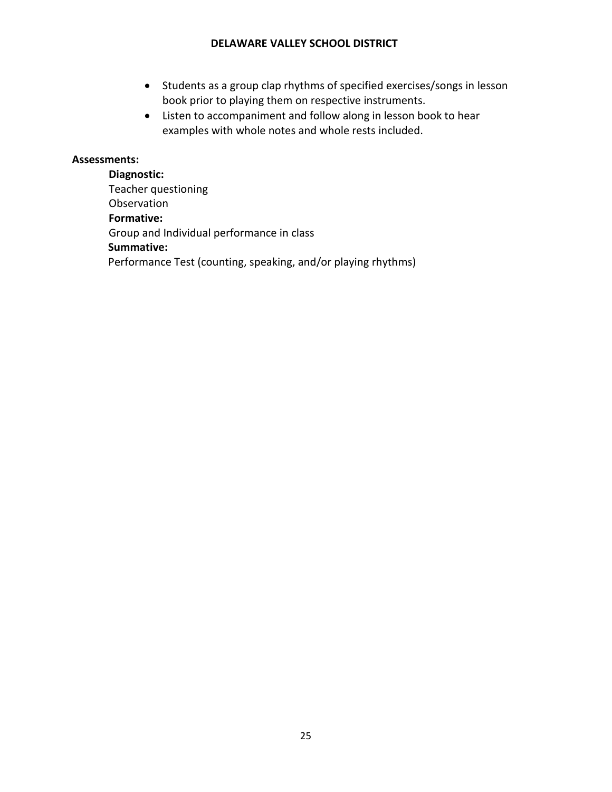- Students as a group clap rhythms of specified exercises/songs in lesson book prior to playing them on respective instruments.
- Listen to accompaniment and follow along in lesson book to hear examples with whole notes and whole rests included.

## **Assessments:**

**Diagnostic:** Teacher questioning Observation **Formative:** Group and Individual performance in class **Summative:** Performance Test (counting, speaking, and/or playing rhythms)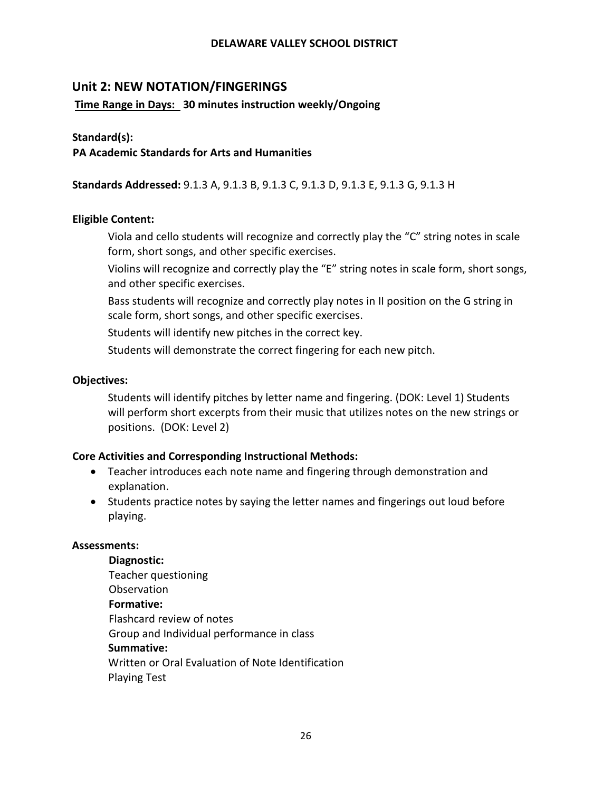# **Unit 2: NEW NOTATION/FINGERINGS**

## **Time Range in Days: 30 minutes instruction weekly/Ongoing**

## **Standard(s):**

## **PA Academic Standards for Arts and Humanities**

**Standards Addressed:** 9.1.3 A, 9.1.3 B, 9.1.3 C, 9.1.3 D, 9.1.3 E, 9.1.3 G, 9.1.3 H

## **Eligible Content:**

Viola and cello students will recognize and correctly play the "C" string notes in scale form, short songs, and other specific exercises.

Violins will recognize and correctly play the "E" string notes in scale form, short songs, and other specific exercises.

Bass students will recognize and correctly play notes in II position on the G string in scale form, short songs, and other specific exercises.

Students will identify new pitches in the correct key.

Students will demonstrate the correct fingering for each new pitch.

## **Objectives:**

Students will identify pitches by letter name and fingering. (DOK: Level 1) Students will perform short excerpts from their music that utilizes notes on the new strings or positions. (DOK: Level 2)

## **Core Activities and Corresponding Instructional Methods:**

- Teacher introduces each note name and fingering through demonstration and explanation.
- Students practice notes by saying the letter names and fingerings out loud before playing.

#### **Assessments:**

**Diagnostic:** Teacher questioning Observation **Formative:** Flashcard review of notes Group and Individual performance in class **Summative:** Written or Oral Evaluation of Note Identification Playing Test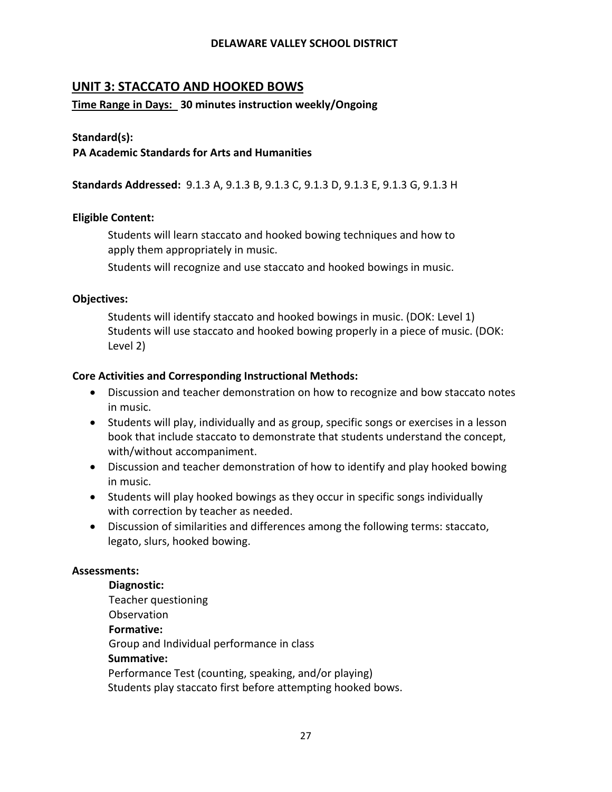# **UNIT 3: STACCATO AND HOOKED BOWS**

## **Time Range in Days: 30 minutes instruction weekly/Ongoing**

## **Standard(s):**

## **PA Academic Standards for Arts and Humanities**

**Standards Addressed:** 9.1.3 A, 9.1.3 B, 9.1.3 C, 9.1.3 D, 9.1.3 E, 9.1.3 G, 9.1.3 H

#### **Eligible Content:**

Students will learn staccato and hooked bowing techniques and how to apply them appropriately in music.

Students will recognize and use staccato and hooked bowings in music.

#### **Objectives:**

Students will identify staccato and hooked bowings in music. (DOK: Level 1) Students will use staccato and hooked bowing properly in a piece of music. (DOK: Level 2)

#### **Core Activities and Corresponding Instructional Methods:**

- Discussion and teacher demonstration on how to recognize and bow staccato notes in music.
- Students will play, individually and as group, specific songs or exercises in a lesson book that include staccato to demonstrate that students understand the concept, with/without accompaniment.
- Discussion and teacher demonstration of how to identify and play hooked bowing in music.
- Students will play hooked bowings as they occur in specific songs individually with correction by teacher as needed.
- Discussion of similarities and differences among the following terms: staccato, legato, slurs, hooked bowing.

#### **Assessments:**

**Diagnostic:** Teacher questioning Observation **Formative:** Group and Individual performance in class **Summative:** Performance Test (counting, speaking, and/or playing) Students play staccato first before attempting hooked bows.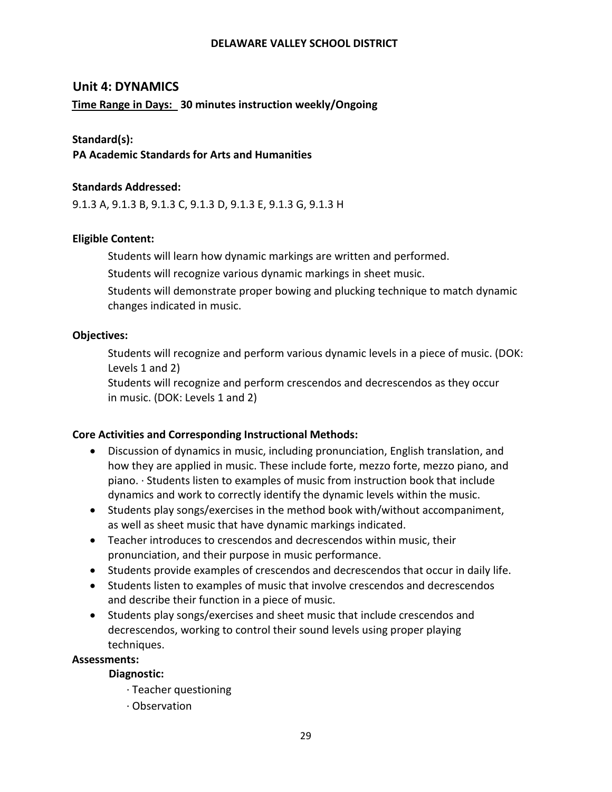## **Unit 4: DYNAMICS**

## **Time Range in Days: 30 minutes instruction weekly/Ongoing**

#### **Standard(s):**

**PA Academic Standards for Arts and Humanities**

## **Standards Addressed:**

9.1.3 A, 9.1.3 B, 9.1.3 C, 9.1.3 D, 9.1.3 E, 9.1.3 G, 9.1.3 H

## **Eligible Content:**

Students will learn how dynamic markings are written and performed.

Students will recognize various dynamic markings in sheet music.

Students will demonstrate proper bowing and plucking technique to match dynamic changes indicated in music.

#### **Objectives:**

Students will recognize and perform various dynamic levels in a piece of music. (DOK: Levels 1 and 2)

Students will recognize and perform crescendos and decrescendos as they occur in music. (DOK: Levels 1 and 2)

## **Core Activities and Corresponding Instructional Methods:**

- Discussion of dynamics in music, including pronunciation, English translation, and how they are applied in music. These include forte, mezzo forte, mezzo piano, and piano. ∙ Students listen to examples of music from instruction book that include dynamics and work to correctly identify the dynamic levels within the music.
- Students play songs/exercises in the method book with/without accompaniment, as well as sheet music that have dynamic markings indicated.
- Teacher introduces to crescendos and decrescendos within music, their pronunciation, and their purpose in music performance.
- Students provide examples of crescendos and decrescendos that occur in daily life.
- Students listen to examples of music that involve crescendos and decrescendos and describe their function in a piece of music.
- Students play songs/exercises and sheet music that include crescendos and decrescendos, working to control their sound levels using proper playing techniques.

#### **Assessments:**

## **Diagnostic:**

- ∙ Teacher questioning
- ∙ Observation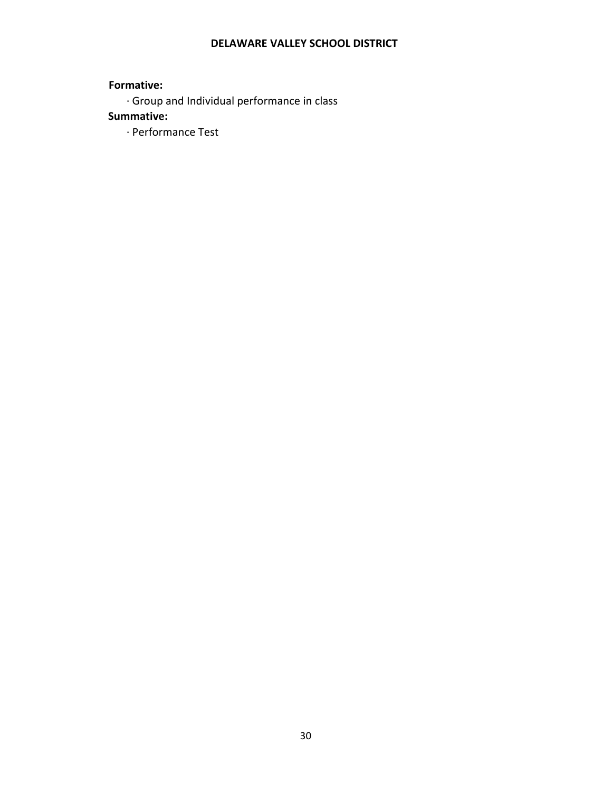## **Formative:**

∙ Group and Individual performance in class

# **Summative:**

∙ Performance Test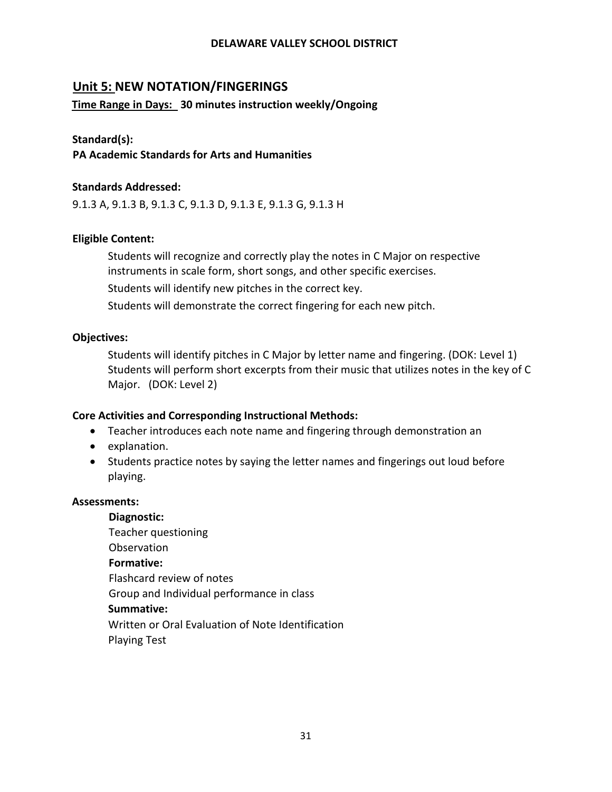# **Unit 5: NEW NOTATION/FINGERINGS**

## **Time Range in Days: 30 minutes instruction weekly/Ongoing**

## **Standard(s):**

**PA Academic Standards for Arts and Humanities**

## **Standards Addressed:**

9.1.3 A, 9.1.3 B, 9.1.3 C, 9.1.3 D, 9.1.3 E, 9.1.3 G, 9.1.3 H

## **Eligible Content:**

Students will recognize and correctly play the notes in C Major on respective instruments in scale form, short songs, and other specific exercises.

Students will identify new pitches in the correct key.

Students will demonstrate the correct fingering for each new pitch.

## **Objectives:**

Students will identify pitches in C Major by letter name and fingering. (DOK: Level 1) Students will perform short excerpts from their music that utilizes notes in the key of C Major. (DOK: Level 2)

## **Core Activities and Corresponding Instructional Methods:**

- Teacher introduces each note name and fingering through demonstration an
- explanation.
- Students practice notes by saying the letter names and fingerings out loud before playing.

#### **Assessments:**

**Diagnostic:** Teacher questioning **Observation Formative:** Flashcard review of notes Group and Individual performance in class **Summative:** Written or Oral Evaluation of Note Identification Playing Test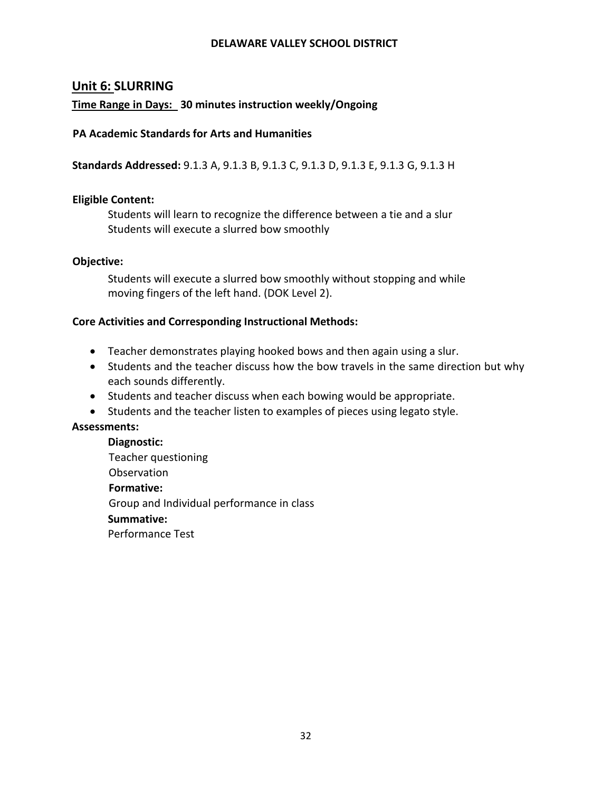# **Unit 6: SLURRING**

## **Time Range in Days: 30 minutes instruction weekly/Ongoing**

## **PA Academic Standards for Arts and Humanities**

**Standards Addressed:** 9.1.3 A, 9.1.3 B, 9.1.3 C, 9.1.3 D, 9.1.3 E, 9.1.3 G, 9.1.3 H

## **Eligible Content:**

Students will learn to recognize the difference between a tie and a slur Students will execute a slurred bow smoothly

## **Objective:**

Students will execute a slurred bow smoothly without stopping and while moving fingers of the left hand. (DOK Level 2).

## **Core Activities and Corresponding Instructional Methods:**

- Teacher demonstrates playing hooked bows and then again using a slur.
- Students and the teacher discuss how the bow travels in the same direction but why each sounds differently.
- Students and teacher discuss when each bowing would be appropriate.
- Students and the teacher listen to examples of pieces using legato style.

#### **Assessments:**

**Diagnostic:** Teacher questioning **Observation Formative:** Group and Individual performance in class **Summative:** Performance Test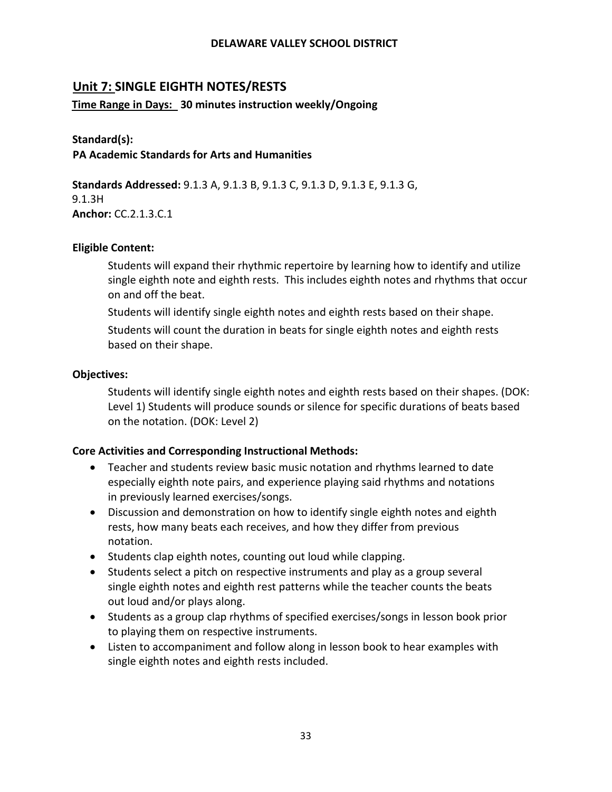# **Unit 7: SINGLE EIGHTH NOTES/RESTS**

## **Time Range in Days: 30 minutes instruction weekly/Ongoing**

## **Standard(s):**

## **PA Academic Standards for Arts and Humanities**

**Standards Addressed:** 9.1.3 A, 9.1.3 B, 9.1.3 C, 9.1.3 D, 9.1.3 E, 9.1.3 G, 9.1.3H **Anchor:** CC.2.1.3.C.1

## **Eligible Content:**

Students will expand their rhythmic repertoire by learning how to identify and utilize single eighth note and eighth rests. This includes eighth notes and rhythms that occur on and off the beat.

Students will identify single eighth notes and eighth rests based on their shape.

Students will count the duration in beats for single eighth notes and eighth rests based on their shape.

## **Objectives:**

Students will identify single eighth notes and eighth rests based on their shapes. (DOK: Level 1) Students will produce sounds or silence for specific durations of beats based on the notation. (DOK: Level 2)

## **Core Activities and Corresponding Instructional Methods:**

- Teacher and students review basic music notation and rhythms learned to date especially eighth note pairs, and experience playing said rhythms and notations in previously learned exercises/songs.
- Discussion and demonstration on how to identify single eighth notes and eighth rests, how many beats each receives, and how they differ from previous notation.
- Students clap eighth notes, counting out loud while clapping.
- Students select a pitch on respective instruments and play as a group several single eighth notes and eighth rest patterns while the teacher counts the beats out loud and/or plays along.
- Students as a group clap rhythms of specified exercises/songs in lesson book prior to playing them on respective instruments.
- Listen to accompaniment and follow along in lesson book to hear examples with single eighth notes and eighth rests included.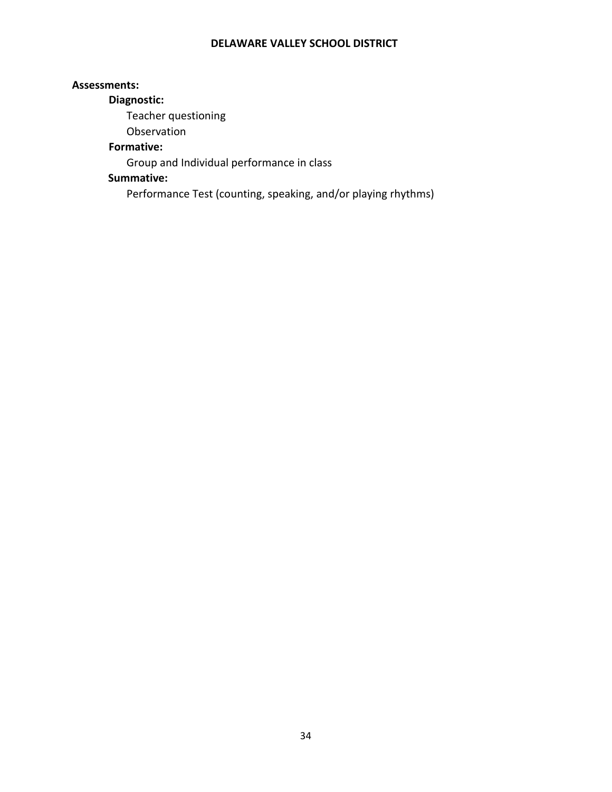#### **Assessments:**

## **Diagnostic:**

Teacher questioning

**Observation** 

## **Formative:**

Group and Individual performance in class

## **Summative:**

Performance Test (counting, speaking, and/or playing rhythms)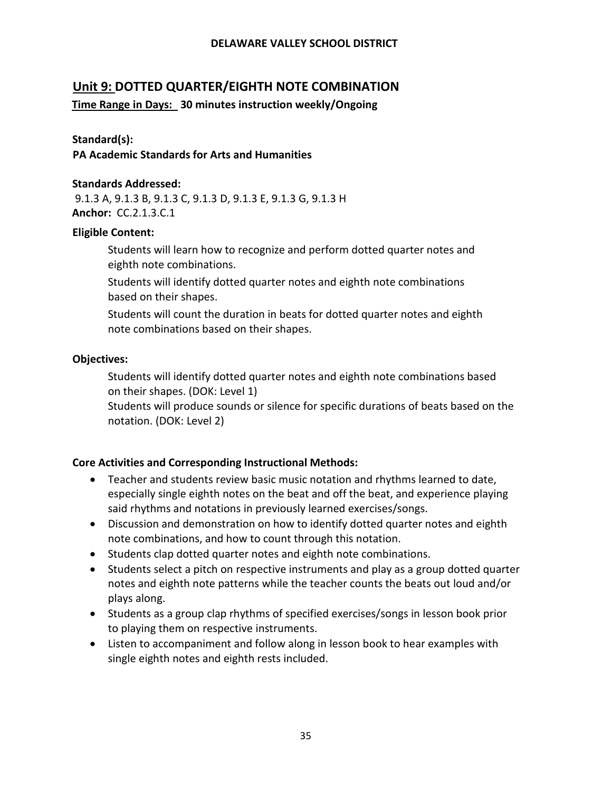# **Unit 9: DOTTED QUARTER/EIGHTH NOTE COMBINATION**

**Time Range in Days: 30 minutes instruction weekly/Ongoing**

## **Standard(s):**

**PA Academic Standards for Arts and Humanities**

## **Standards Addressed:**

9.1.3 A, 9.1.3 B, 9.1.3 C, 9.1.3 D, 9.1.3 E, 9.1.3 G, 9.1.3 H **Anchor:** CC.2.1.3.C.1

## **Eligible Content:**

Students will learn how to recognize and perform dotted quarter notes and eighth note combinations.

Students will identify dotted quarter notes and eighth note combinations based on their shapes.

Students will count the duration in beats for dotted quarter notes and eighth note combinations based on their shapes.

## **Objectives:**

Students will identify dotted quarter notes and eighth note combinations based on their shapes. (DOK: Level 1)

Students will produce sounds or silence for specific durations of beats based on the notation. (DOK: Level 2)

## **Core Activities and Corresponding Instructional Methods:**

- Teacher and students review basic music notation and rhythms learned to date, especially single eighth notes on the beat and off the beat, and experience playing said rhythms and notations in previously learned exercises/songs.
- Discussion and demonstration on how to identify dotted quarter notes and eighth note combinations, and how to count through this notation.
- Students clap dotted quarter notes and eighth note combinations.
- Students select a pitch on respective instruments and play as a group dotted quarter notes and eighth note patterns while the teacher counts the beats out loud and/or plays along.
- Students as a group clap rhythms of specified exercises/songs in lesson book prior to playing them on respective instruments.
- Listen to accompaniment and follow along in lesson book to hear examples with single eighth notes and eighth rests included.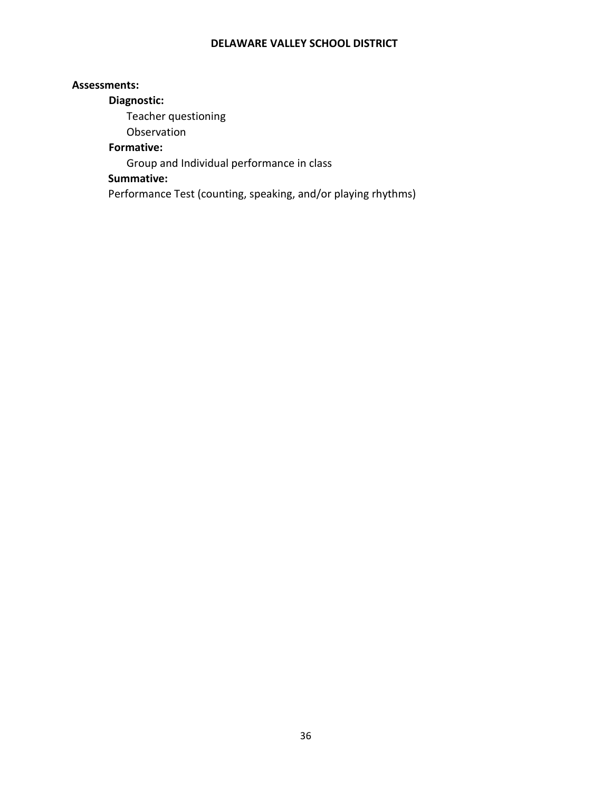#### **Assessments:**

## **Diagnostic:**

Teacher questioning

Observation

## **Formative:**

Group and Individual performance in class

# **Summative:**

Performance Test (counting, speaking, and/or playing rhythms)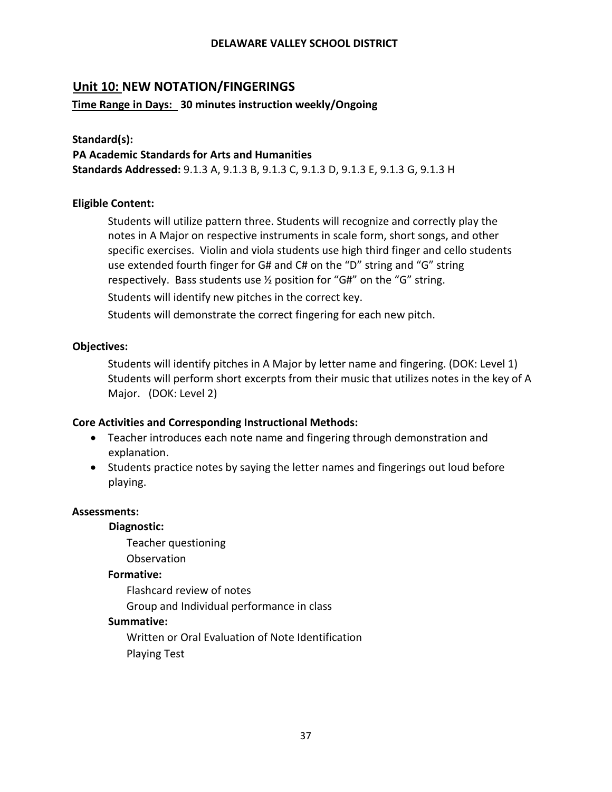# **Unit 10: NEW NOTATION/FINGERINGS**

## **Time Range in Days: 30 minutes instruction weekly/Ongoing**

## **Standard(s):**

## **PA Academic Standards for Arts and Humanities**

**Standards Addressed:** 9.1.3 A, 9.1.3 B, 9.1.3 C, 9.1.3 D, 9.1.3 E, 9.1.3 G, 9.1.3 H

## **Eligible Content:**

Students will utilize pattern three. Students will recognize and correctly play the notes in A Major on respective instruments in scale form, short songs, and other specific exercises. Violin and viola students use high third finger and cello students use extended fourth finger for G# and C# on the "D" string and "G" string respectively. Bass students use ½ position for "G#" on the "G" string. Students will identify new pitches in the correct key.

Students will demonstrate the correct fingering for each new pitch.

## **Objectives:**

Students will identify pitches in A Major by letter name and fingering. (DOK: Level 1) Students will perform short excerpts from their music that utilizes notes in the key of A Major. (DOK: Level 2)

## **Core Activities and Corresponding Instructional Methods:**

- Teacher introduces each note name and fingering through demonstration and explanation.
- Students practice notes by saying the letter names and fingerings out loud before playing.

## **Assessments:**

## **Diagnostic:**

Teacher questioning

Observation

## **Formative:**

Flashcard review of notes

Group and Individual performance in class

## **Summative:**

Written or Oral Evaluation of Note Identification Playing Test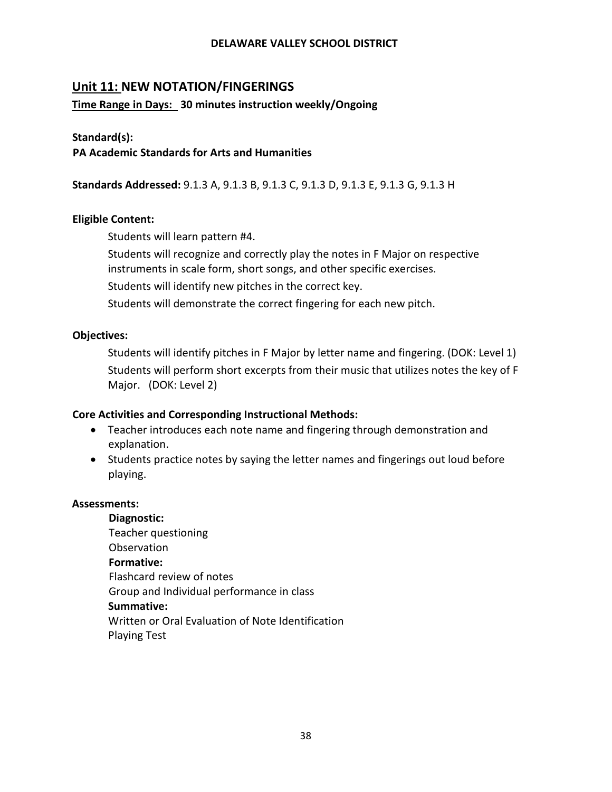# **Unit 11: NEW NOTATION/FINGERINGS**

## **Time Range in Days: 30 minutes instruction weekly/Ongoing**

## **Standard(s):**

## **PA Academic Standards for Arts and Humanities**

**Standards Addressed:** 9.1.3 A, 9.1.3 B, 9.1.3 C, 9.1.3 D, 9.1.3 E, 9.1.3 G, 9.1.3 H

## **Eligible Content:**

Students will learn pattern #4.

Students will recognize and correctly play the notes in F Major on respective instruments in scale form, short songs, and other specific exercises. Students will identify new pitches in the correct key. Students will demonstrate the correct fingering for each new pitch.

## **Objectives:**

Students will identify pitches in F Major by letter name and fingering. (DOK: Level 1) Students will perform short excerpts from their music that utilizes notes the key of F Major. (DOK: Level 2)

## **Core Activities and Corresponding Instructional Methods:**

- Teacher introduces each note name and fingering through demonstration and explanation.
- Students practice notes by saying the letter names and fingerings out loud before playing.

## **Assessments:**

**Diagnostic:** Teacher questioning Observation **Formative:** Flashcard review of notes Group and Individual performance in class **Summative:** Written or Oral Evaluation of Note Identification Playing Test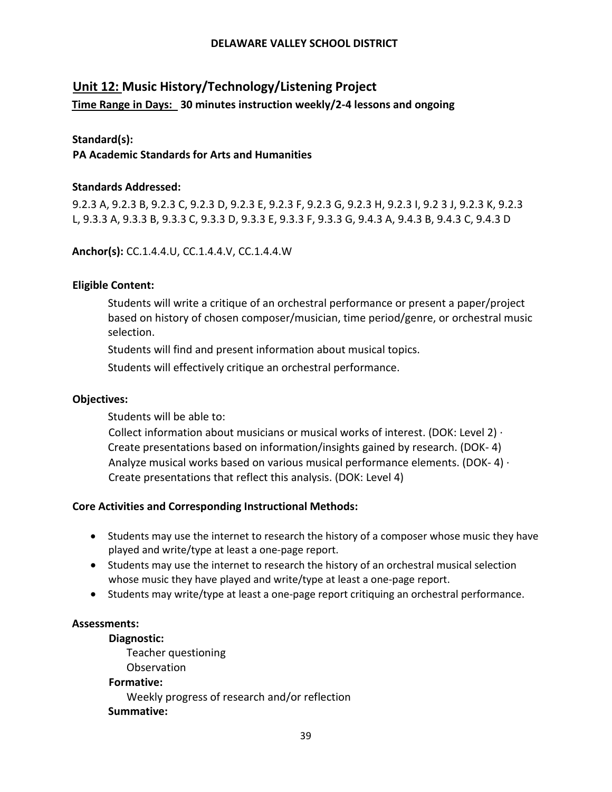# **Unit 12: Music History/Technology/Listening Project**

**Time Range in Days: 30 minutes instruction weekly/2-4 lessons and ongoing**

## **Standard(s):**

**PA Academic Standards for Arts and Humanities**

## **Standards Addressed:**

9.2.3 A, 9.2.3 B, 9.2.3 C, 9.2.3 D, 9.2.3 E, 9.2.3 F, 9.2.3 G, 9.2.3 H, 9.2.3 I, 9.2 3 J, 9.2.3 K, 9.2.3 L, 9.3.3 A, 9.3.3 B, 9.3.3 C, 9.3.3 D, 9.3.3 E, 9.3.3 F, 9.3.3 G, 9.4.3 A, 9.4.3 B, 9.4.3 C, 9.4.3 D

**Anchor(s):** CC.1.4.4.U, CC.1.4.4.V, CC.1.4.4.W

## **Eligible Content:**

Students will write a critique of an orchestral performance or present a paper/project based on history of chosen composer/musician, time period/genre, or orchestral music selection.

Students will find and present information about musical topics.

Students will effectively critique an orchestral performance.

## **Objectives:**

Students will be able to:

Collect information about musicians or musical works of interest. (DOK: Level 2) ∙ Create presentations based on information/insights gained by research. (DOK‐ 4) Analyze musical works based on various musical performance elements. (DOK‐ 4) ∙ Create presentations that reflect this analysis. (DOK: Level 4)

## **Core Activities and Corresponding Instructional Methods:**

- Students may use the internet to research the history of a composer whose music they have played and write/type at least a one-page report.
- Students may use the internet to research the history of an orchestral musical selection whose music they have played and write/type at least a one-page report.
- Students may write/type at least a one-page report critiquing an orchestral performance.

#### **Assessments:**

# **Diagnostic:**

Teacher questioning Observation **Formative:**

Weekly progress of research and/or reflection

#### **Summative:**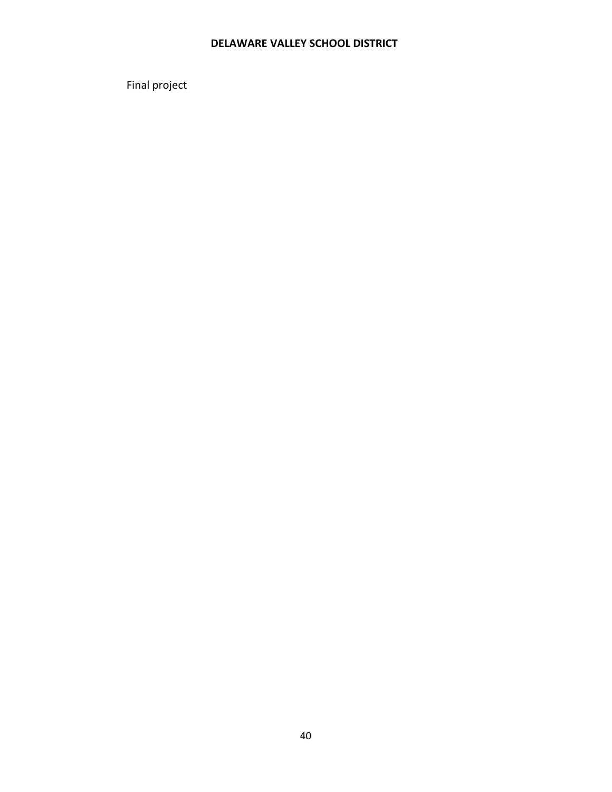Final project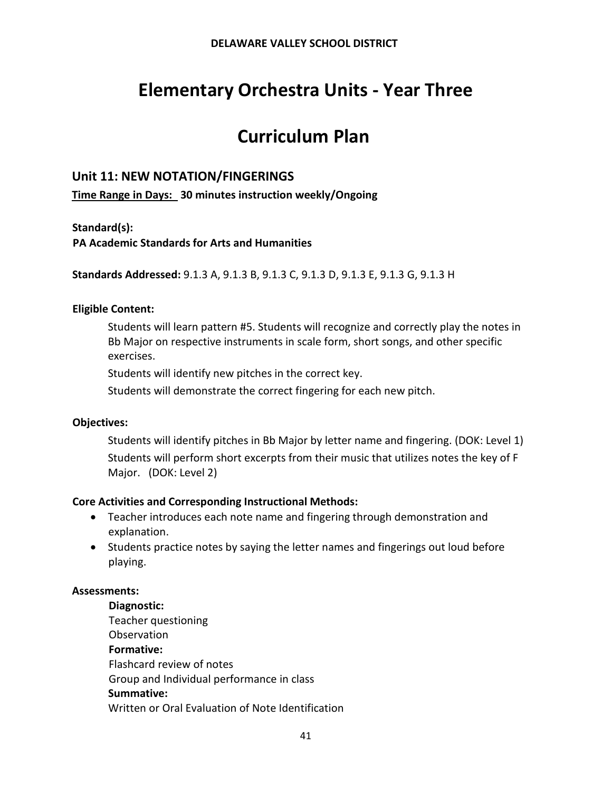# **Elementary Orchestra Units - Year Three**

# **Curriculum Plan**

## **Unit 11: NEW NOTATION/FINGERINGS**

**Time Range in Days: 30 minutes instruction weekly/Ongoing**

## **Standard(s):**

**PA Academic Standards for Arts and Humanities**

**Standards Addressed:** 9.1.3 A, 9.1.3 B, 9.1.3 C, 9.1.3 D, 9.1.3 E, 9.1.3 G, 9.1.3 H

#### **Eligible Content:**

Students will learn pattern #5. Students will recognize and correctly play the notes in Bb Major on respective instruments in scale form, short songs, and other specific exercises.

Students will identify new pitches in the correct key.

Students will demonstrate the correct fingering for each new pitch.

#### **Objectives:**

Students will identify pitches in Bb Major by letter name and fingering. (DOK: Level 1) Students will perform short excerpts from their music that utilizes notes the key of F Major. (DOK: Level 2)

#### **Core Activities and Corresponding Instructional Methods:**

- Teacher introduces each note name and fingering through demonstration and explanation.
- Students practice notes by saying the letter names and fingerings out loud before playing.

#### **Assessments:**

**Diagnostic:** Teacher questioning **Observation Formative:** Flashcard review of notes Group and Individual performance in class **Summative:** Written or Oral Evaluation of Note Identification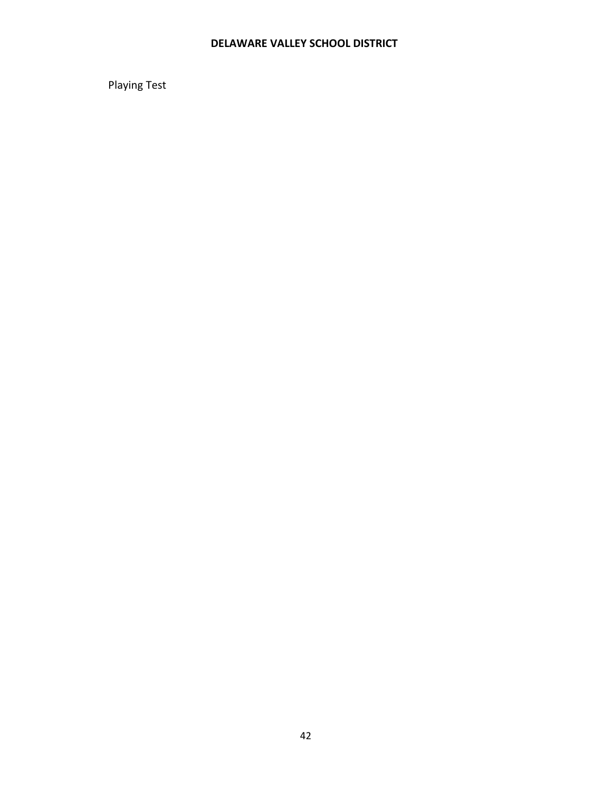Playing Test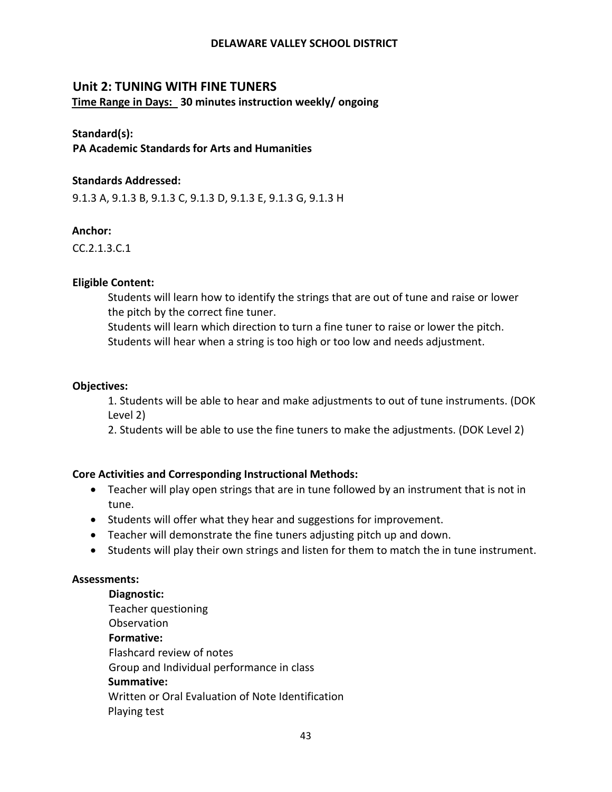## **Unit 2: TUNING WITH FINE TUNERS**

**Time Range in Days: 30 minutes instruction weekly/ ongoing**

#### **Standard(s):**

**PA Academic Standards for Arts and Humanities**

#### **Standards Addressed:**

9.1.3 A, 9.1.3 B, 9.1.3 C, 9.1.3 D, 9.1.3 E, 9.1.3 G, 9.1.3 H

#### **Anchor:**

CC.2.1.3.C.1

#### **Eligible Content:**

Students will learn how to identify the strings that are out of tune and raise or lower the pitch by the correct fine tuner.

Students will learn which direction to turn a fine tuner to raise or lower the pitch. Students will hear when a string is too high or too low and needs adjustment.

#### **Objectives:**

1. Students will be able to hear and make adjustments to out of tune instruments. (DOK Level 2)

2. Students will be able to use the fine tuners to make the adjustments. (DOK Level 2)

#### **Core Activities and Corresponding Instructional Methods:**

- Teacher will play open strings that are in tune followed by an instrument that is not in tune.
- Students will offer what they hear and suggestions for improvement.
- Teacher will demonstrate the fine tuners adjusting pitch up and down.
- Students will play their own strings and listen for them to match the in tune instrument.

#### **Assessments:**

**Diagnostic:** Teacher questioning **Observation Formative:** Flashcard review of notes Group and Individual performance in class **Summative:** Written or Oral Evaluation of Note Identification Playing test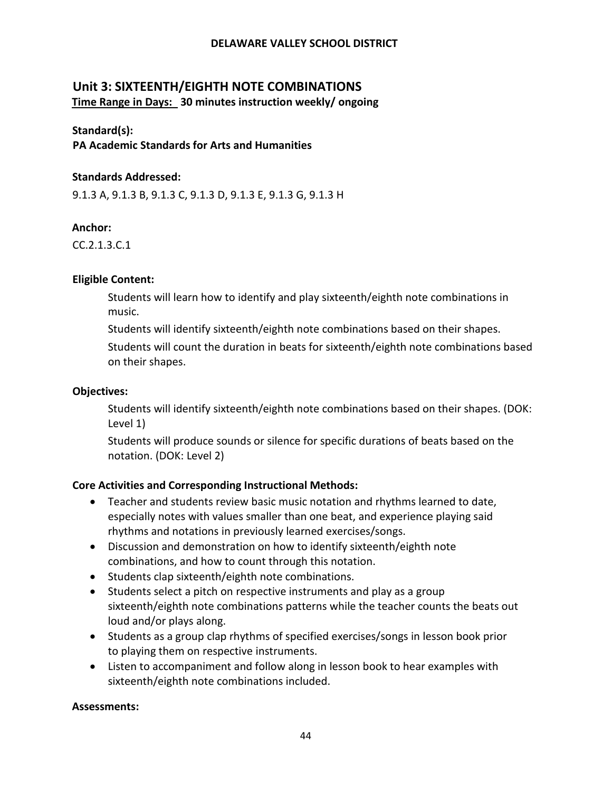# **Unit 3: SIXTEENTH/EIGHTH NOTE COMBINATIONS Time Range in Days: 30 minutes instruction weekly/ ongoing**

#### **Standard(s):**

**PA Academic Standards for Arts and Humanities**

#### **Standards Addressed:**

9.1.3 A, 9.1.3 B, 9.1.3 C, 9.1.3 D, 9.1.3 E, 9.1.3 G, 9.1.3 H

## **Anchor:**

CC.2.1.3.C.1

#### **Eligible Content:**

Students will learn how to identify and play sixteenth/eighth note combinations in music.

Students will identify sixteenth/eighth note combinations based on their shapes.

Students will count the duration in beats for sixteenth/eighth note combinations based on their shapes.

## **Objectives:**

Students will identify sixteenth/eighth note combinations based on their shapes. (DOK: Level 1)

Students will produce sounds or silence for specific durations of beats based on the notation. (DOK: Level 2)

#### **Core Activities and Corresponding Instructional Methods:**

- Teacher and students review basic music notation and rhythms learned to date, especially notes with values smaller than one beat, and experience playing said rhythms and notations in previously learned exercises/songs.
- Discussion and demonstration on how to identify sixteenth/eighth note combinations, and how to count through this notation.
- Students clap sixteenth/eighth note combinations.
- Students select a pitch on respective instruments and play as a group sixteenth/eighth note combinations patterns while the teacher counts the beats out loud and/or plays along.
- Students as a group clap rhythms of specified exercises/songs in lesson book prior to playing them on respective instruments.
- Listen to accompaniment and follow along in lesson book to hear examples with sixteenth/eighth note combinations included.

#### **Assessments:**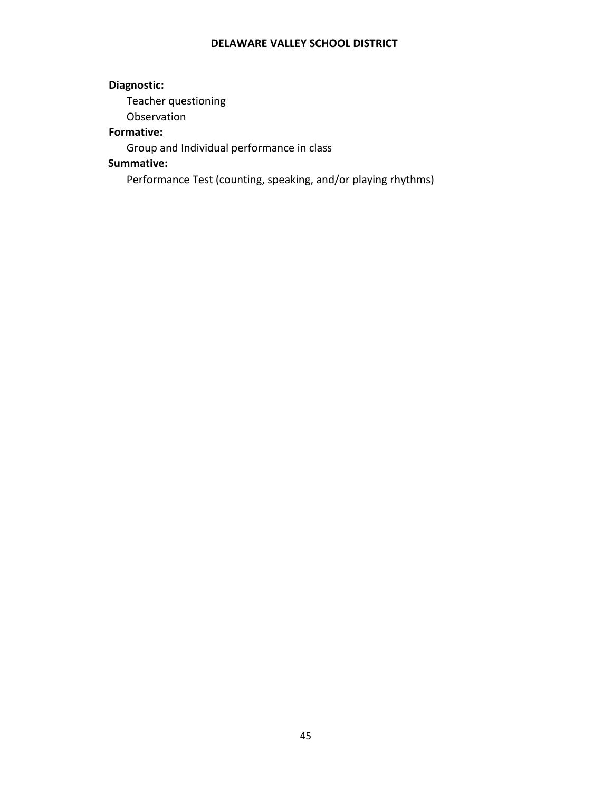## **Diagnostic:**

Teacher questioning

Observation

## **Formative:**

Group and Individual performance in class

# **Summative:**

Performance Test (counting, speaking, and/or playing rhythms)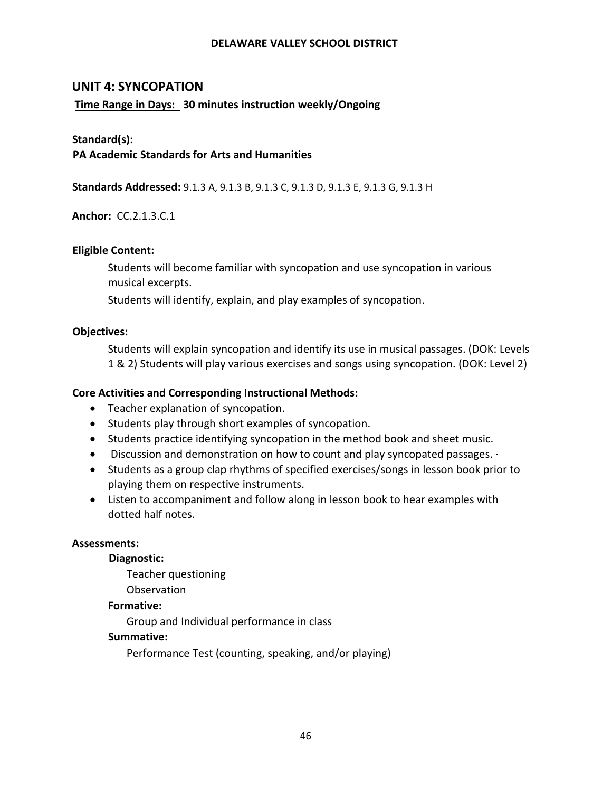## **UNIT 4: SYNCOPATION**

## **Time Range in Days: 30 minutes instruction weekly/Ongoing**

#### **Standard(s):**

#### **PA Academic Standards for Arts and Humanities**

**Standards Addressed:** 9.1.3 A, 9.1.3 B, 9.1.3 C, 9.1.3 D, 9.1.3 E, 9.1.3 G, 9.1.3 H

**Anchor:** CC.2.1.3.C.1

#### **Eligible Content:**

Students will become familiar with syncopation and use syncopation in various musical excerpts.

Students will identify, explain, and play examples of syncopation.

#### **Objectives:**

Students will explain syncopation and identify its use in musical passages. (DOK: Levels 1 & 2) Students will play various exercises and songs using syncopation. (DOK: Level 2)

#### **Core Activities and Corresponding Instructional Methods:**

- Teacher explanation of syncopation.
- Students play through short examples of syncopation.
- Students practice identifying syncopation in the method book and sheet music.
- Discussion and demonstration on how to count and play syncopated passages. ∙
- Students as a group clap rhythms of specified exercises/songs in lesson book prior to playing them on respective instruments.
- Listen to accompaniment and follow along in lesson book to hear examples with dotted half notes.

#### **Assessments:**

**Diagnostic:**

Teacher questioning

**Observation** 

#### **Formative:**

Group and Individual performance in class

#### **Summative:**

Performance Test (counting, speaking, and/or playing)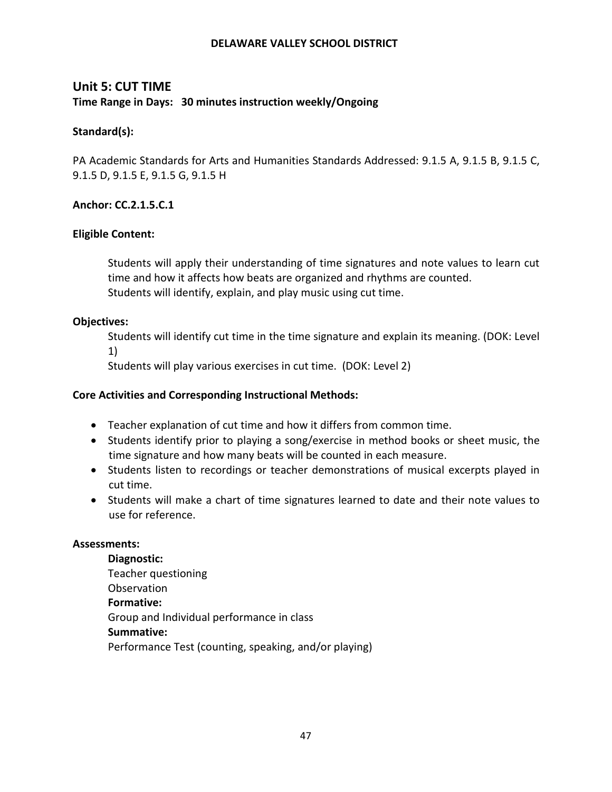# **Unit 5: CUT TIME Time Range in Days: 30 minutes instruction weekly/Ongoing**

#### **Standard(s):**

PA Academic Standards for Arts and Humanities Standards Addressed: 9.1.5 A, 9.1.5 B, 9.1.5 C, 9.1.5 D, 9.1.5 E, 9.1.5 G, 9.1.5 H

## **Anchor: CC.2.1.5.C.1**

#### **Eligible Content:**

Students will apply their understanding of time signatures and note values to learn cut time and how it affects how beats are organized and rhythms are counted. Students will identify, explain, and play music using cut time.

#### **Objectives:**

Students will identify cut time in the time signature and explain its meaning. (DOK: Level 1)

Students will play various exercises in cut time. (DOK: Level 2)

#### **Core Activities and Corresponding Instructional Methods:**

- Teacher explanation of cut time and how it differs from common time.
- Students identify prior to playing a song/exercise in method books or sheet music, the time signature and how many beats will be counted in each measure.
- Students listen to recordings or teacher demonstrations of musical excerpts played in cut time.
- Students will make a chart of time signatures learned to date and their note values to use for reference.

#### **Assessments:**

**Diagnostic:**  Teacher questioning **Observation Formative:**  Group and Individual performance in class **Summative:** Performance Test (counting, speaking, and/or playing)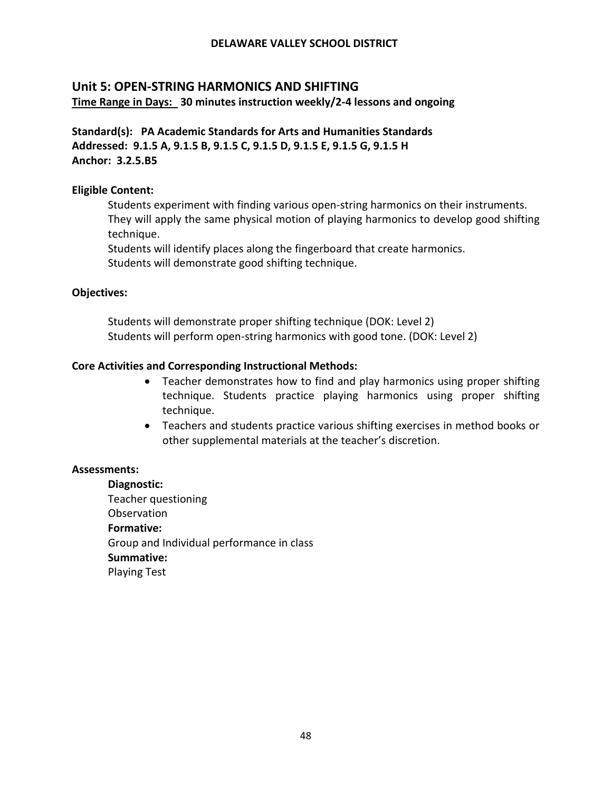# **Unit 5: OPEN-STRING HARMONICS AND SHIFTING**

**Time Range in Days: 30 minutes instruction weekly/2-4 lessons and ongoing**

**Standard(s): PA Academic Standards for Arts and Humanities Standards Addressed: 9.1.5 A, 9.1.5 B, 9.1.5 C, 9.1.5 D, 9.1.5 E, 9.1.5 G, 9.1.5 H Anchor: 3.2.5.B5** 

## **Eligible Content:**

Students experiment with finding various open‐string harmonics on their instruments. They will apply the same physical motion of playing harmonics to develop good shifting technique.

Students will identify places along the fingerboard that create harmonics. Students will demonstrate good shifting technique.

## **Objectives:**

Students will demonstrate proper shifting technique (DOK: Level 2) Students will perform open‐string harmonics with good tone. (DOK: Level 2)

## **Core Activities and Corresponding Instructional Methods:**

- Teacher demonstrates how to find and play harmonics using proper shifting technique. Students practice playing harmonics using proper shifting technique.
- Teachers and students practice various shifting exercises in method books or other supplemental materials at the teacher's discretion.

#### **Assessments:**

**Diagnostic:**  Teacher questioning **Observation Formative:**  Group and Individual performance in class **Summative:**  Playing Test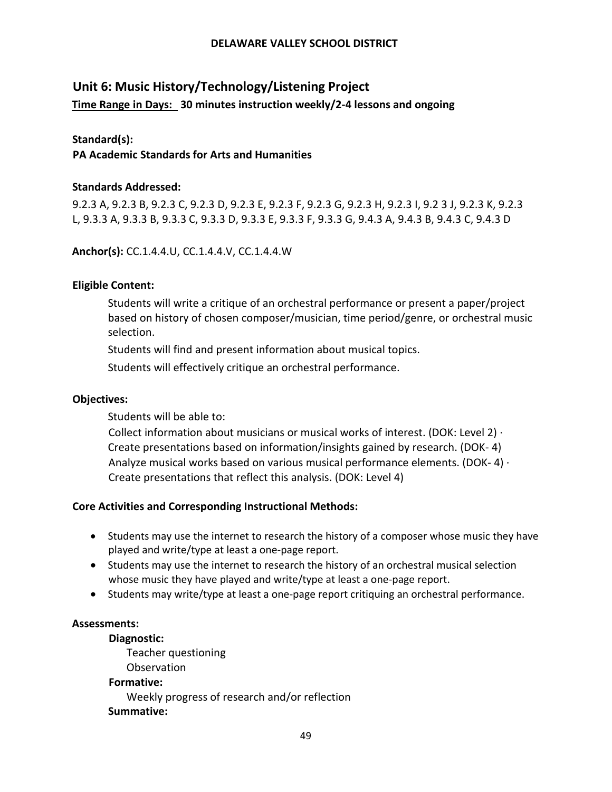# **Unit 6: Music History/Technology/Listening Project**

**Time Range in Days: 30 minutes instruction weekly/2-4 lessons and ongoing**

## **Standard(s):**

**PA Academic Standards for Arts and Humanities**

## **Standards Addressed:**

9.2.3 A, 9.2.3 B, 9.2.3 C, 9.2.3 D, 9.2.3 E, 9.2.3 F, 9.2.3 G, 9.2.3 H, 9.2.3 I, 9.2 3 J, 9.2.3 K, 9.2.3 L, 9.3.3 A, 9.3.3 B, 9.3.3 C, 9.3.3 D, 9.3.3 E, 9.3.3 F, 9.3.3 G, 9.4.3 A, 9.4.3 B, 9.4.3 C, 9.4.3 D

**Anchor(s):** CC.1.4.4.U, CC.1.4.4.V, CC.1.4.4.W

## **Eligible Content:**

Students will write a critique of an orchestral performance or present a paper/project based on history of chosen composer/musician, time period/genre, or orchestral music selection.

Students will find and present information about musical topics.

Students will effectively critique an orchestral performance.

## **Objectives:**

Students will be able to:

Collect information about musicians or musical works of interest. (DOK: Level 2) ∙ Create presentations based on information/insights gained by research. (DOK‐ 4) Analyze musical works based on various musical performance elements. (DOK‐ 4) ∙ Create presentations that reflect this analysis. (DOK: Level 4)

## **Core Activities and Corresponding Instructional Methods:**

- Students may use the internet to research the history of a composer whose music they have played and write/type at least a one-page report.
- Students may use the internet to research the history of an orchestral musical selection whose music they have played and write/type at least a one-page report.
- Students may write/type at least a one-page report critiquing an orchestral performance.

#### **Assessments:**

# **Diagnostic:**

Teacher questioning Observation **Formative:**

Weekly progress of research and/or reflection

#### **Summative:**